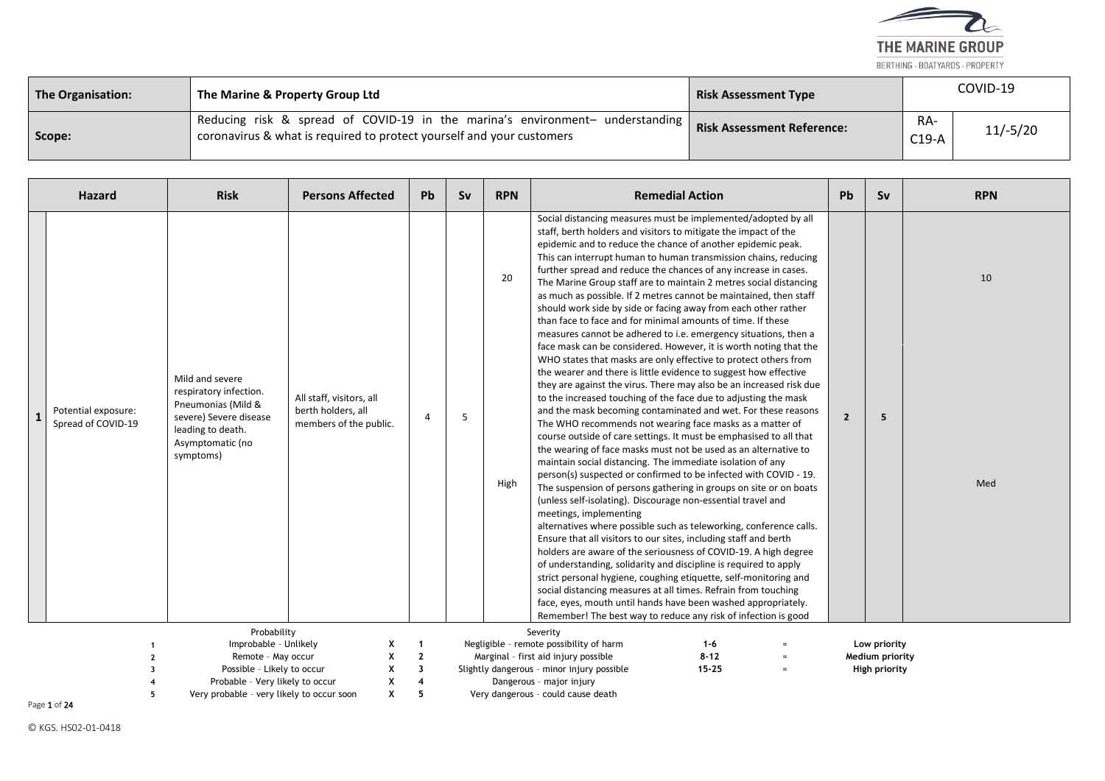

| The Organisation: | The Marine & Property Group Ltd                                                                                                                        | <b>Risk Assessment Type</b>       |                | COVID-19   |
|-------------------|--------------------------------------------------------------------------------------------------------------------------------------------------------|-----------------------------------|----------------|------------|
| Scope:            | Reducing risk & spread of COVID-19 in the marina's environment- understanding<br>coronavirus & what is required to protect yourself and your customers | <b>Risk Assessment Reference:</b> | RA-<br>$C19-A$ | $11/-5/20$ |

| <b>Hazard</b>                             | <b>Risk</b>                                                                                                                                     | <b>Persons Affected</b>                                                  | Pb                      | <b>Sv</b> | <b>RPN</b> | <b>Remedial Action</b>                                                                                                                                                                                                                                                                                                                                                                                                                                                                                                                                                                                                                                                                                                                                                                                                                                                                                                                                                                                                                                                                                                                                                                                                                                                                                                                                                                                                                                                                                                                                                                                                                                                                                                                                                                                                                                                                                                                                                | <b>Pb</b>      | <b>Sv</b>       | <b>RPN</b> |
|-------------------------------------------|-------------------------------------------------------------------------------------------------------------------------------------------------|--------------------------------------------------------------------------|-------------------------|-----------|------------|-----------------------------------------------------------------------------------------------------------------------------------------------------------------------------------------------------------------------------------------------------------------------------------------------------------------------------------------------------------------------------------------------------------------------------------------------------------------------------------------------------------------------------------------------------------------------------------------------------------------------------------------------------------------------------------------------------------------------------------------------------------------------------------------------------------------------------------------------------------------------------------------------------------------------------------------------------------------------------------------------------------------------------------------------------------------------------------------------------------------------------------------------------------------------------------------------------------------------------------------------------------------------------------------------------------------------------------------------------------------------------------------------------------------------------------------------------------------------------------------------------------------------------------------------------------------------------------------------------------------------------------------------------------------------------------------------------------------------------------------------------------------------------------------------------------------------------------------------------------------------------------------------------------------------------------------------------------------------|----------------|-----------------|------------|
| Potential exposure:<br>Spread of COVID-19 | Mild and severe<br>respiratory infection.<br>Pneumonias (Mild &<br>severe) Severe disease<br>leading to death.<br>Asymptomatic (no<br>symptoms) | All staff, visitors, all<br>berth holders, all<br>members of the public. | 4                       | 5         | 20<br>High | Social distancing measures must be implemented/adopted by all<br>staff, berth holders and visitors to mitigate the impact of the<br>epidemic and to reduce the chance of another epidemic peak.<br>This can interrupt human to human transmission chains, reducing<br>further spread and reduce the chances of any increase in cases.<br>The Marine Group staff are to maintain 2 metres social distancing<br>as much as possible. If 2 metres cannot be maintained, then staff<br>should work side by side or facing away from each other rather<br>than face to face and for minimal amounts of time. If these<br>measures cannot be adhered to i.e. emergency situations, then a<br>face mask can be considered. However, it is worth noting that the<br>WHO states that masks are only effective to protect others from<br>the wearer and there is little evidence to suggest how effective<br>they are against the virus. There may also be an increased risk due<br>to the increased touching of the face due to adjusting the mask<br>and the mask becoming contaminated and wet. For these reasons<br>The WHO recommends not wearing face masks as a matter of<br>course outside of care settings. It must be emphasised to all that<br>the wearing of face masks must not be used as an alternative to<br>maintain social distancing. The immediate isolation of any<br>person(s) suspected or confirmed to be infected with COVID - 19.<br>The suspension of persons gathering in groups on site or on boats<br>(unless self-isolating). Discourage non-essential travel and<br>meetings, implementing<br>alternatives where possible such as teleworking, conference calls.<br>Ensure that all visitors to our sites, including staff and berth<br>holders are aware of the seriousness of COVID-19. A high degree<br>of understanding, solidarity and discipline is required to apply<br>strict personal hygiene, coughing etiquette, self-monitoring and | $\overline{2}$ | 5               | 10<br>Med  |
|                                           |                                                                                                                                                 |                                                                          |                         |           |            | social distancing measures at all times. Refrain from touching<br>face, eyes, mouth until hands have been washed appropriately.<br>Remember! The best way to reduce any risk of infection is good                                                                                                                                                                                                                                                                                                                                                                                                                                                                                                                                                                                                                                                                                                                                                                                                                                                                                                                                                                                                                                                                                                                                                                                                                                                                                                                                                                                                                                                                                                                                                                                                                                                                                                                                                                     |                |                 |            |
|                                           | Probability                                                                                                                                     |                                                                          |                         |           |            | Severity                                                                                                                                                                                                                                                                                                                                                                                                                                                                                                                                                                                                                                                                                                                                                                                                                                                                                                                                                                                                                                                                                                                                                                                                                                                                                                                                                                                                                                                                                                                                                                                                                                                                                                                                                                                                                                                                                                                                                              |                |                 |            |
|                                           | Improbable - Unlikely                                                                                                                           |                                                                          |                         |           |            | Negligible - remote possibility of harm<br>$1 - 6$                                                                                                                                                                                                                                                                                                                                                                                                                                                                                                                                                                                                                                                                                                                                                                                                                                                                                                                                                                                                                                                                                                                                                                                                                                                                                                                                                                                                                                                                                                                                                                                                                                                                                                                                                                                                                                                                                                                    |                | Low priority    |            |
|                                           | Remote - May occur                                                                                                                              | X<br>X                                                                   | $\overline{2}$          |           |            | $8 - 12$<br>Marginal - first aid injury possible<br>$=$                                                                                                                                                                                                                                                                                                                                                                                                                                                                                                                                                                                                                                                                                                                                                                                                                                                                                                                                                                                                                                                                                                                                                                                                                                                                                                                                                                                                                                                                                                                                                                                                                                                                                                                                                                                                                                                                                                               |                | Medium priority |            |
|                                           | Possible - Likely to occur                                                                                                                      | X                                                                        | $\overline{\mathbf{3}}$ |           |            | Slightly dangerous - minor injury possible<br>$15 - 25$<br>$=$                                                                                                                                                                                                                                                                                                                                                                                                                                                                                                                                                                                                                                                                                                                                                                                                                                                                                                                                                                                                                                                                                                                                                                                                                                                                                                                                                                                                                                                                                                                                                                                                                                                                                                                                                                                                                                                                                                        |                | High priority   |            |
|                                           | Probable - Very likely to occur                                                                                                                 | X                                                                        |                         |           |            | Dangerous - major injury                                                                                                                                                                                                                                                                                                                                                                                                                                                                                                                                                                                                                                                                                                                                                                                                                                                                                                                                                                                                                                                                                                                                                                                                                                                                                                                                                                                                                                                                                                                                                                                                                                                                                                                                                                                                                                                                                                                                              |                |                 |            |
| 5                                         | Very probable - very likely to occur soon                                                                                                       | x                                                                        | 5                       |           |            | Very dangerous - could cause death                                                                                                                                                                                                                                                                                                                                                                                                                                                                                                                                                                                                                                                                                                                                                                                                                                                                                                                                                                                                                                                                                                                                                                                                                                                                                                                                                                                                                                                                                                                                                                                                                                                                                                                                                                                                                                                                                                                                    |                |                 |            |

Page 1 of 24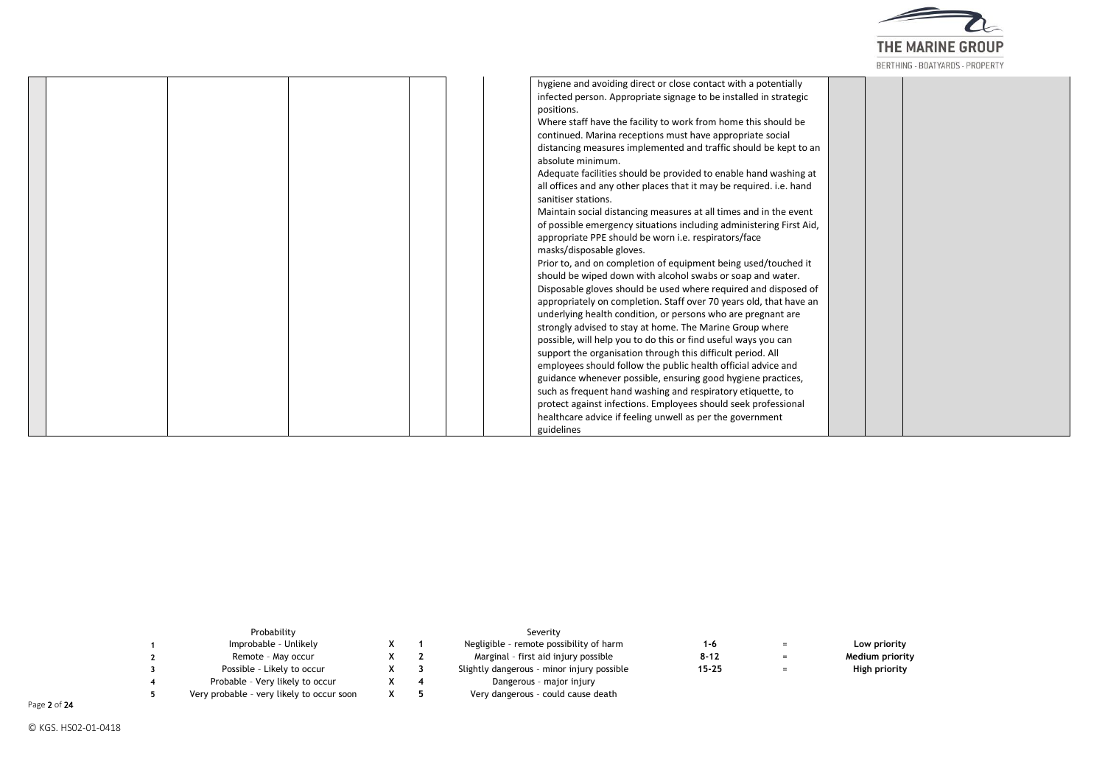

| hygiene and avoiding direct or close contact with a potentially     |  |
|---------------------------------------------------------------------|--|
| infected person. Appropriate signage to be installed in strategic   |  |
| positions.                                                          |  |
| Where staff have the facility to work from home this should be      |  |
| continued. Marina receptions must have appropriate social           |  |
| distancing measures implemented and traffic should be kept to an    |  |
| absolute minimum.                                                   |  |
| Adequate facilities should be provided to enable hand washing at    |  |
| all offices and any other places that it may be required. i.e. hand |  |
| sanitiser stations.                                                 |  |
| Maintain social distancing measures at all times and in the event   |  |
| of possible emergency situations including administering First Aid, |  |
| appropriate PPE should be worn i.e. respirators/face                |  |
| masks/disposable gloves.                                            |  |
| Prior to, and on completion of equipment being used/touched it      |  |
| should be wiped down with alcohol swabs or soap and water.          |  |
| Disposable gloves should be used where required and disposed of     |  |
| appropriately on completion. Staff over 70 years old, that have an  |  |
| underlying health condition, or persons who are pregnant are        |  |
| strongly advised to stay at home. The Marine Group where            |  |
| possible, will help you to do this or find useful ways you can      |  |
| support the organisation through this difficult period. All         |  |
| employees should follow the public health official advice and       |  |
| guidance whenever possible, ensuring good hygiene practices,        |  |
| such as frequent hand washing and respiratory etiquette, to         |  |
| protect against infections. Employees should seek professional      |  |
| healthcare advice if feeling unwell as per the government           |  |
| guidelines                                                          |  |

| Probability                               |  | Severity                                   |           |     |                 |
|-------------------------------------------|--|--------------------------------------------|-----------|-----|-----------------|
| Improbable - Unlikely                     |  | Negligible - remote possibility of harm    | 1-6       | $=$ | Low priority    |
| Remote - May occur                        |  | Marginal - first aid injury possible       | $8 - 12$  | $=$ | Medium priority |
| Possible - Likely to occur                |  | Slightly dangerous - minor injury possible | $15 - 25$ | $=$ | High priority   |
| Probable - Very likely to occur           |  | Dangerous - major injury                   |           |     |                 |
| Very probable - very likely to occur soon |  | Very dangerous - could cause death         |           |     |                 |

Page 2 of 24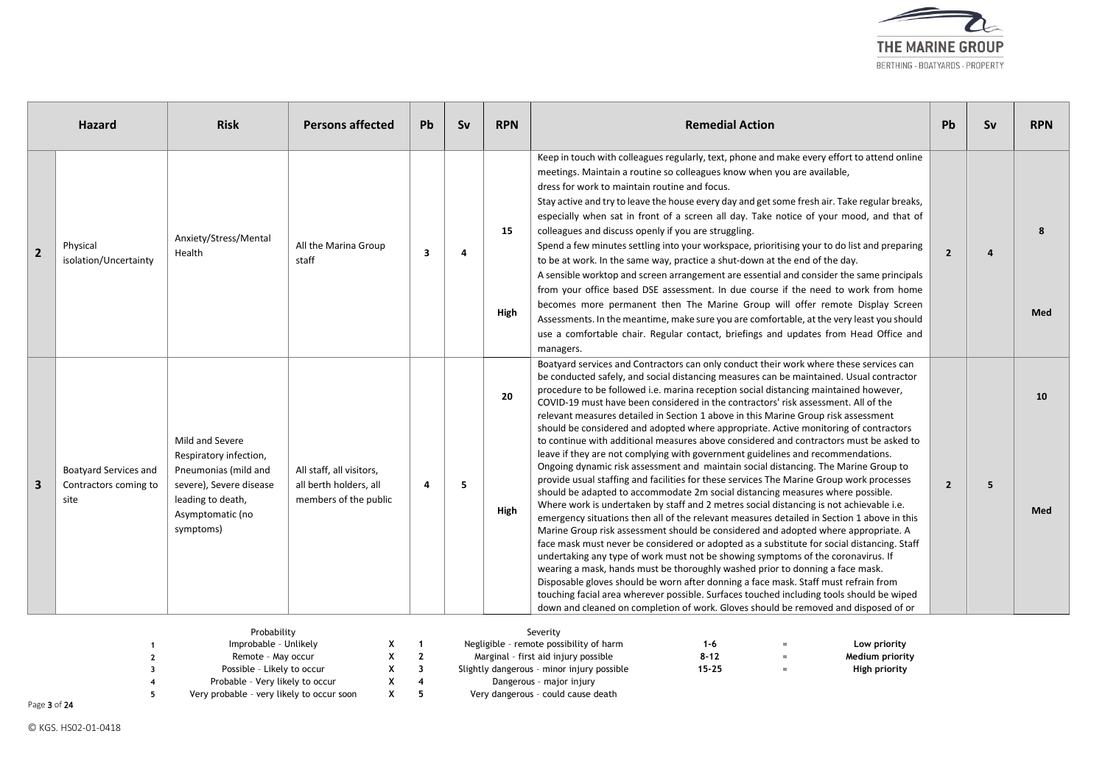

|              | <b>Hazard</b>                                                 | <b>Risk</b>                                                                                                                                        | <b>Persons affected</b>                                                     | Pb                            | Sv | <b>RPN</b> | <b>Remedial Action</b>                                                                                                                                                                                                                                                                                                                                                                                                                                                                                                                                                                                                                                                                                                                                                                                                                                                                                                                                                                                                                                                                                                                                                                                                                                                                                                                                                                                                                                                                                                                                                                                                                                                                                                                                                                                                      | <b>Pb</b>      | Sv | <b>RPN</b> |
|--------------|---------------------------------------------------------------|----------------------------------------------------------------------------------------------------------------------------------------------------|-----------------------------------------------------------------------------|-------------------------------|----|------------|-----------------------------------------------------------------------------------------------------------------------------------------------------------------------------------------------------------------------------------------------------------------------------------------------------------------------------------------------------------------------------------------------------------------------------------------------------------------------------------------------------------------------------------------------------------------------------------------------------------------------------------------------------------------------------------------------------------------------------------------------------------------------------------------------------------------------------------------------------------------------------------------------------------------------------------------------------------------------------------------------------------------------------------------------------------------------------------------------------------------------------------------------------------------------------------------------------------------------------------------------------------------------------------------------------------------------------------------------------------------------------------------------------------------------------------------------------------------------------------------------------------------------------------------------------------------------------------------------------------------------------------------------------------------------------------------------------------------------------------------------------------------------------------------------------------------------------|----------------|----|------------|
| $\mathbf{2}$ | Physical<br>isolation/Uncertainty                             | Anxiety/Stress/Mental<br>Health                                                                                                                    | All the Marina Group<br>staff                                               | $\overline{\mathbf{3}}$       | Δ  | 15<br>High | Keep in touch with colleagues regularly, text, phone and make every effort to attend online<br>meetings. Maintain a routine so colleagues know when you are available,<br>dress for work to maintain routine and focus.<br>Stay active and try to leave the house every day and get some fresh air. Take regular breaks,<br>especially when sat in front of a screen all day. Take notice of your mood, and that of<br>colleagues and discuss openly if you are struggling.<br>Spend a few minutes settling into your workspace, prioritising your to do list and preparing<br>to be at work. In the same way, practice a shut-down at the end of the day.<br>A sensible worktop and screen arrangement are essential and consider the same principals<br>from your office based DSE assessment. In due course if the need to work from home<br>becomes more permanent then The Marine Group will offer remote Display Screen<br>Assessments. In the meantime, make sure you are comfortable, at the very least you should<br>use a comfortable chair. Regular contact, briefings and updates from Head Office and<br>managers.                                                                                                                                                                                                                                                                                                                                                                                                                                                                                                                                                                                                                                                                                             | $\overline{2}$ | Δ  | -8<br>Med  |
| 3            | <b>Boatyard Services and</b><br>Contractors coming to<br>site | Mild and Severe<br>Respiratory infection,<br>Pneumonias (mild and<br>severe), Severe disease<br>leading to death,<br>Asymptomatic (no<br>symptoms) | All staff, all visitors,<br>all berth holders, all<br>members of the public | 4                             | 5  | 20<br>High | Boatyard services and Contractors can only conduct their work where these services can<br>be conducted safely, and social distancing measures can be maintained. Usual contractor<br>procedure to be followed i.e. marina reception social distancing maintained however,<br>COVID-19 must have been considered in the contractors' risk assessment. All of the<br>relevant measures detailed in Section 1 above in this Marine Group risk assessment<br>should be considered and adopted where appropriate. Active monitoring of contractors<br>to continue with additional measures above considered and contractors must be asked to<br>leave if they are not complying with government guidelines and recommendations.<br>Ongoing dynamic risk assessment and maintain social distancing. The Marine Group to<br>provide usual staffing and facilities for these services The Marine Group work processes<br>should be adapted to accommodate 2m social distancing measures where possible.<br>Where work is undertaken by staff and 2 metres social distancing is not achievable i.e.<br>emergency situations then all of the relevant measures detailed in Section 1 above in this<br>Marine Group risk assessment should be considered and adopted where appropriate. A<br>face mask must never be considered or adopted as a substitute for social distancing. Staff<br>undertaking any type of work must not be showing symptoms of the coronavirus. If<br>wearing a mask, hands must be thoroughly washed prior to donning a face mask.<br>Disposable gloves should be worn after donning a face mask. Staff must refrain from<br>touching facial area wherever possible. Surfaces touched including tools should be wiped<br>down and cleaned on completion of work. Gloves should be removed and disposed of or | $\overline{2}$ | 5  | 10<br>Med  |
|              | $\overline{2}$                                                | Probability<br>Improbable - Unlikely<br>Remote - May occur                                                                                         | х<br>X                                                                      | -1<br>$\overline{\mathbf{z}}$ |    |            | Severity<br>Negligible - remote possibility of harm<br>Low priority<br>1-6<br>$8 - 12$<br>Marginal - first aid injury possible<br>Medium priority                                                                                                                                                                                                                                                                                                                                                                                                                                                                                                                                                                                                                                                                                                                                                                                                                                                                                                                                                                                                                                                                                                                                                                                                                                                                                                                                                                                                                                                                                                                                                                                                                                                                           |                |    |            |

**3** Possible – Likely to occur **X 3** Slightly dangerous – minor injury possible **15-25** = **High priority**

**4** Probable – Very likely to occur **X 4** Dangerous – major injury **5** Very probable – very likely to occur soon **X 5** Very dangerous – could cause death

Page 3 of 24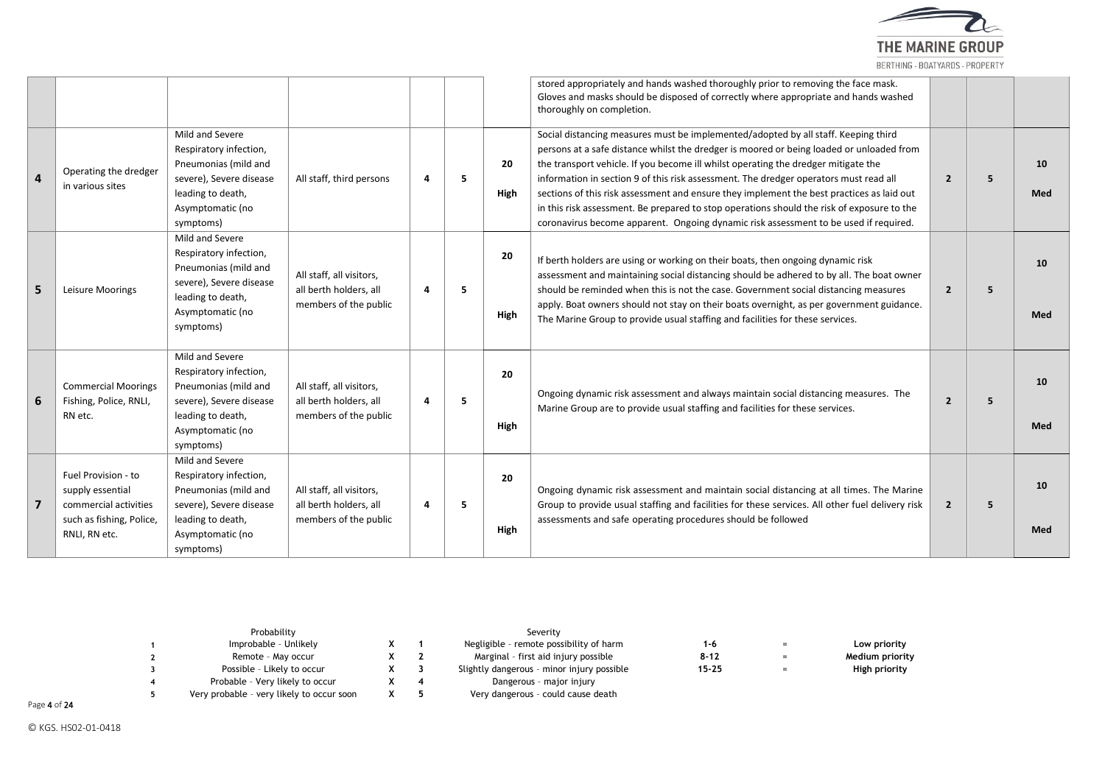

|          |                                                                                                               |                                                                                                                                                    |                                                                             |                        |   |            | stored appropriately and hands washed thoroughly prior to removing the face mask.<br>Gloves and masks should be disposed of correctly where appropriate and hands washed<br>thoroughly on completion.                                                                                                                                                                                                                                                                                                                                                                                                                                            |                |   |           |
|----------|---------------------------------------------------------------------------------------------------------------|----------------------------------------------------------------------------------------------------------------------------------------------------|-----------------------------------------------------------------------------|------------------------|---|------------|--------------------------------------------------------------------------------------------------------------------------------------------------------------------------------------------------------------------------------------------------------------------------------------------------------------------------------------------------------------------------------------------------------------------------------------------------------------------------------------------------------------------------------------------------------------------------------------------------------------------------------------------------|----------------|---|-----------|
| $\Delta$ | Operating the dredger<br>in various sites                                                                     | Mild and Severe<br>Respiratory infection,<br>Pneumonias (mild and<br>severe), Severe disease<br>leading to death,<br>Asymptomatic (no<br>symptoms) | All staff, third persons                                                    | $\boldsymbol{\Lambda}$ | 5 | 20<br>High | Social distancing measures must be implemented/adopted by all staff. Keeping third<br>persons at a safe distance whilst the dredger is moored or being loaded or unloaded from<br>the transport vehicle. If you become ill whilst operating the dredger mitigate the<br>information in section 9 of this risk assessment. The dredger operators must read all<br>sections of this risk assessment and ensure they implement the best practices as laid out<br>in this risk assessment. Be prepared to stop operations should the risk of exposure to the<br>coronavirus become apparent. Ongoing dynamic risk assessment to be used if required. | $\overline{2}$ | 5 | 10<br>Med |
| 5        | Leisure Moorings                                                                                              | Mild and Severe<br>Respiratory infection,<br>Pneumonias (mild and<br>severe), Severe disease<br>leading to death,<br>Asymptomatic (no<br>symptoms) | All staff, all visitors,<br>all berth holders, all<br>members of the public | 4                      | 5 | 20<br>High | If berth holders are using or working on their boats, then ongoing dynamic risk<br>assessment and maintaining social distancing should be adhered to by all. The boat owner<br>should be reminded when this is not the case. Government social distancing measures<br>apply. Boat owners should not stay on their boats overnight, as per government guidance.<br>The Marine Group to provide usual staffing and facilities for these services.                                                                                                                                                                                                  | $\overline{2}$ | 5 | 10<br>Med |
|          | <b>Commercial Moorings</b><br>Fishing, Police, RNLI,<br>RN etc.                                               | Mild and Severe<br>Respiratory infection,<br>Pneumonias (mild and<br>severe), Severe disease<br>leading to death,<br>Asymptomatic (no<br>symptoms) | All staff, all visitors,<br>all berth holders, all<br>members of the public | $\overline{a}$         | 5 | 20<br>High | Ongoing dynamic risk assessment and always maintain social distancing measures. The<br>Marine Group are to provide usual staffing and facilities for these services.                                                                                                                                                                                                                                                                                                                                                                                                                                                                             | $\overline{2}$ | 5 | 10<br>Med |
|          | Fuel Provision - to<br>supply essential<br>commercial activities<br>such as fishing, Police,<br>RNLI, RN etc. | Mild and Severe<br>Respiratory infection,<br>Pneumonias (mild and<br>severe), Severe disease<br>leading to death,<br>Asymptomatic (no<br>symptoms) | All staff, all visitors,<br>all berth holders, all<br>members of the public | 4                      | 5 | 20<br>High | Ongoing dynamic risk assessment and maintain social distancing at all times. The Marine<br>Group to provide usual staffing and facilities for these services. All other fuel delivery risk<br>assessments and safe operating procedures should be followed                                                                                                                                                                                                                                                                                                                                                                                       | $\overline{2}$ | 5 | 10<br>Med |

| Probability                               |  | Severity                                   |           |     |                 |
|-------------------------------------------|--|--------------------------------------------|-----------|-----|-----------------|
| Improbable - Unlikely                     |  | Negligible - remote possibility of harm    | 1-6       |     | Low priority    |
| Remote - May occur                        |  | Marginal - first aid injury possible       | $8 - 12$  |     | Medium priority |
| Possible - Likely to occur                |  | Slightly dangerous - minor injury possible | $15 - 25$ | $=$ | High priority   |
| Probable - Very likely to occur           |  | Dangerous - major injury                   |           |     |                 |
| Very probable - very likely to occur soon |  | Very dangerous - could cause death         |           |     |                 |

Page 4 of 24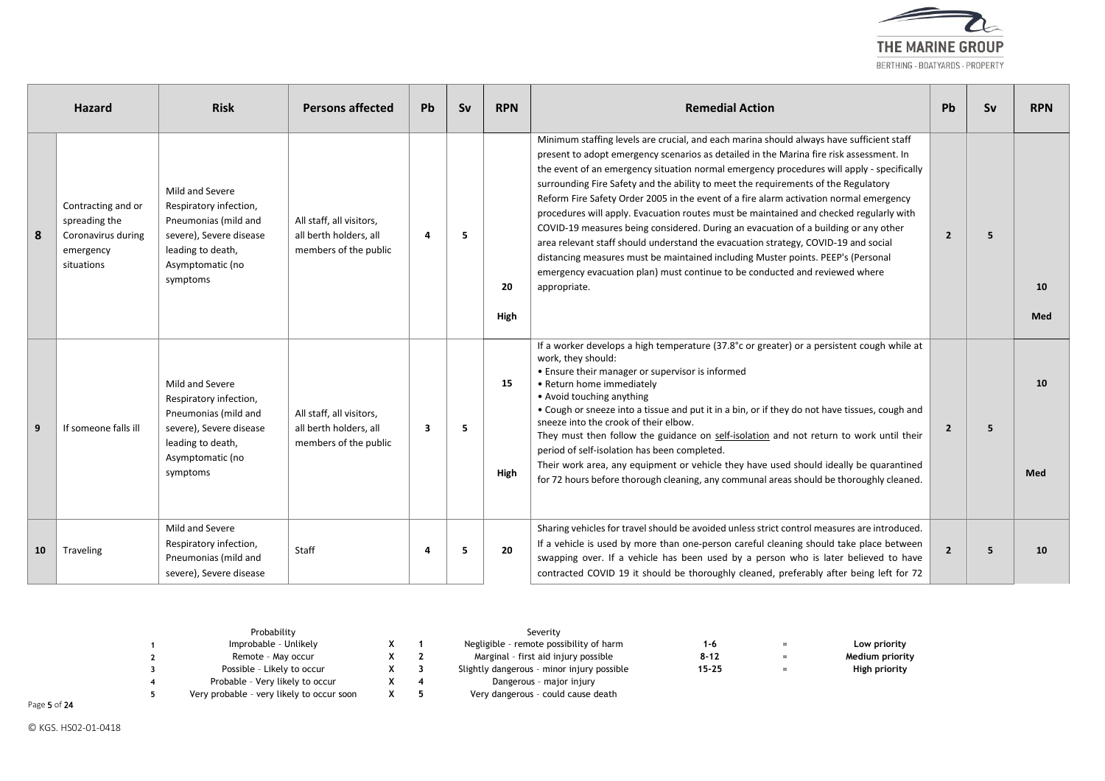

|    | <b>Hazard</b>                                                                        | <b>Risk</b>                                                                                                                                       | <b>Persons affected</b>                                                     | <b>Pb</b> | Sv | <b>RPN</b> | <b>Remedial Action</b>                                                                                                                                                                                                                                                                                                                                                                                                                                                                                                                                                                                                                                                                                                                                                                                                                                                                                                     | Pb             | Sv | <b>RPN</b> |
|----|--------------------------------------------------------------------------------------|---------------------------------------------------------------------------------------------------------------------------------------------------|-----------------------------------------------------------------------------|-----------|----|------------|----------------------------------------------------------------------------------------------------------------------------------------------------------------------------------------------------------------------------------------------------------------------------------------------------------------------------------------------------------------------------------------------------------------------------------------------------------------------------------------------------------------------------------------------------------------------------------------------------------------------------------------------------------------------------------------------------------------------------------------------------------------------------------------------------------------------------------------------------------------------------------------------------------------------------|----------------|----|------------|
| 8  | Contracting and or<br>spreading the<br>Coronavirus during<br>emergency<br>situations | Mild and Severe<br>Respiratory infection,<br>Pneumonias (mild and<br>severe), Severe disease<br>leading to death,<br>Asymptomatic (no<br>symptoms | All staff, all visitors,<br>all berth holders, all<br>members of the public | 4         | 5  | 20<br>High | Minimum staffing levels are crucial, and each marina should always have sufficient staff<br>present to adopt emergency scenarios as detailed in the Marina fire risk assessment. In<br>the event of an emergency situation normal emergency procedures will apply - specifically<br>surrounding Fire Safety and the ability to meet the requirements of the Regulatory<br>Reform Fire Safety Order 2005 in the event of a fire alarm activation normal emergency<br>procedures will apply. Evacuation routes must be maintained and checked regularly with<br>COVID-19 measures being considered. During an evacuation of a building or any other<br>area relevant staff should understand the evacuation strategy, COVID-19 and social<br>distancing measures must be maintained including Muster points. PEEP's (Personal<br>emergency evacuation plan) must continue to be conducted and reviewed where<br>appropriate. | $\overline{2}$ | 5  | 10<br>Med  |
| 9  | If someone falls ill                                                                 | Mild and Severe<br>Respiratory infection,<br>Pneumonias (mild and<br>severe), Severe disease<br>leading to death,<br>Asymptomatic (no<br>symptoms | All staff, all visitors,<br>all berth holders, all<br>members of the public | 3         | 5  | 15<br>High | If a worker develops a high temperature (37.8°c or greater) or a persistent cough while at<br>work, they should:<br>• Ensure their manager or supervisor is informed<br>• Return home immediately<br>• Avoid touching anything<br>• Cough or sneeze into a tissue and put it in a bin, or if they do not have tissues, cough and<br>sneeze into the crook of their elbow.<br>They must then follow the guidance on self-isolation and not return to work until their<br>period of self-isolation has been completed.<br>Their work area, any equipment or vehicle they have used should ideally be quarantined<br>for 72 hours before thorough cleaning, any communal areas should be thoroughly cleaned.                                                                                                                                                                                                                  | $\overline{2}$ | 5  | 10<br>Med  |
| 10 | Traveling                                                                            | Mild and Severe<br>Respiratory infection,<br>Pneumonias (mild and<br>severe), Severe disease                                                      | Staff                                                                       | 4         | 5  | 20         | Sharing vehicles for travel should be avoided unless strict control measures are introduced.<br>If a vehicle is used by more than one-person careful cleaning should take place between<br>swapping over. If a vehicle has been used by a person who is later believed to have<br>contracted COVID 19 it should be thoroughly cleaned, preferably after being left for 72                                                                                                                                                                                                                                                                                                                                                                                                                                                                                                                                                  | $\overline{2}$ | 5  | 10         |

| Probability                               |  | Severity                                   |           |     |                 |
|-------------------------------------------|--|--------------------------------------------|-----------|-----|-----------------|
| Improbable - Unlikely                     |  | Negligible - remote possibility of harm    | 1-6       | $=$ | Low priority    |
| Remote - May occur                        |  | Marginal - first aid injury possible       | $8 - 12$  | $=$ | Medium priority |
| Possible - Likely to occur                |  | Slightly dangerous - minor injury possible | $15 - 25$ | $=$ | High priority   |
| Probable - Very likely to occur           |  | Dangerous - major injury                   |           |     |                 |
| Very probable - very likely to occur soon |  | Very dangerous - could cause death         |           |     |                 |

Page 5 of 24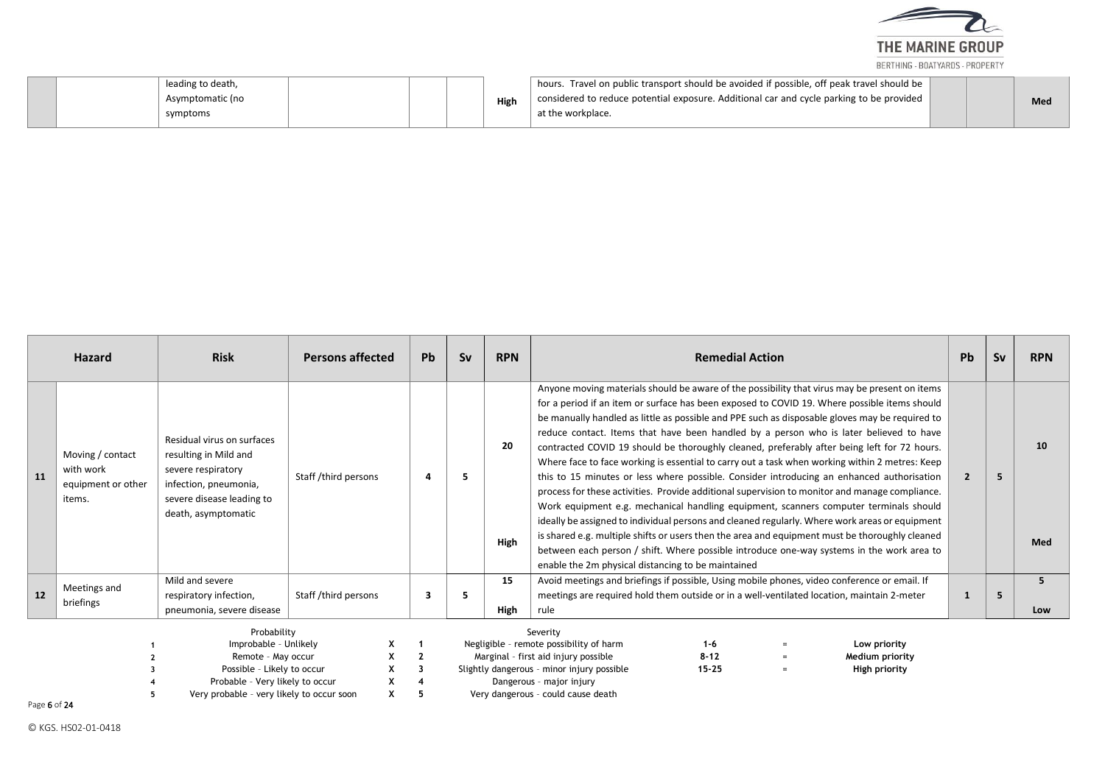

| leading to death,<br>Asymptomatic (no<br>symptoms | High | bours. Travel on public transport should be avoided if possible, off peak travel should be<br>considered to reduce potential exposure. Additional car and cycle parking to be provided<br>at the workplace. |  | Med |
|---------------------------------------------------|------|-------------------------------------------------------------------------------------------------------------------------------------------------------------------------------------------------------------|--|-----|
|---------------------------------------------------|------|-------------------------------------------------------------------------------------------------------------------------------------------------------------------------------------------------------------|--|-----|

|    | <b>Hazard</b>                                                                                                                                                            | <b>Risk</b>                                                                                                                                            | <b>Persons affected</b> | <b>Pb</b> | <b>Sv</b> | <b>RPN</b> | <b>Remedial Action</b>                                                                                                                                                                                                                                                                                                                                                                                                                                                                                                                                                                                                                                                                                                                                                                                                                                                                                                                                                                                                                                                                                                                                                                                                                    |                                                         | Pb | Sv | <b>RPN</b> |
|----|--------------------------------------------------------------------------------------------------------------------------------------------------------------------------|--------------------------------------------------------------------------------------------------------------------------------------------------------|-------------------------|-----------|-----------|------------|-------------------------------------------------------------------------------------------------------------------------------------------------------------------------------------------------------------------------------------------------------------------------------------------------------------------------------------------------------------------------------------------------------------------------------------------------------------------------------------------------------------------------------------------------------------------------------------------------------------------------------------------------------------------------------------------------------------------------------------------------------------------------------------------------------------------------------------------------------------------------------------------------------------------------------------------------------------------------------------------------------------------------------------------------------------------------------------------------------------------------------------------------------------------------------------------------------------------------------------------|---------------------------------------------------------|----|----|------------|
| 11 | Moving / contact<br>with work<br>equipment or other<br>items.                                                                                                            | Residual virus on surfaces<br>resulting in Mild and<br>severe respiratory<br>infection, pneumonia,<br>severe disease leading to<br>death, asymptomatic | Staff /third persons    |           |           | 20<br>High | Anyone moving materials should be aware of the possibility that virus may be present on items<br>for a period if an item or surface has been exposed to COVID 19. Where possible items should<br>be manually handled as little as possible and PPE such as disposable gloves may be required to<br>reduce contact. Items that have been handled by a person who is later believed to have<br>contracted COVID 19 should be thoroughly cleaned, preferably after being left for 72 hours.<br>Where face to face working is essential to carry out a task when working within 2 metres: Keep<br>this to 15 minutes or less where possible. Consider introducing an enhanced authorisation<br>process for these activities. Provide additional supervision to monitor and manage compliance.<br>Work equipment e.g. mechanical handling equipment, scanners computer terminals should<br>ideally be assigned to individual persons and cleaned regularly. Where work areas or equipment<br>is shared e.g. multiple shifts or users then the area and equipment must be thoroughly cleaned<br>between each person / shift. Where possible introduce one-way systems in the work area to<br>enable the 2m physical distancing to be maintained |                                                         |    | -5 | 10<br>Med  |
| 12 | Meetings and<br>briefings                                                                                                                                                | Mild and severe<br>respiratory infection,<br>pneumonia, severe disease                                                                                 | Staff /third persons    | -3        | 5         | 15<br>High | Avoid meetings and briefings if possible, Using mobile phones, video conference or email. If<br>meetings are required hold them outside or in a well-ventilated location, maintain 2-meter<br>rule                                                                                                                                                                                                                                                                                                                                                                                                                                                                                                                                                                                                                                                                                                                                                                                                                                                                                                                                                                                                                                        |                                                         |    | -5 | 5<br>Low   |
|    | Probability<br>Improbable - Unlikely<br>Remote - May occur<br>Possible - Likely to occur<br>Probable - Very likely to occur<br>Very probable - very likely to occur soon |                                                                                                                                                        |                         |           |           |            | Severity<br>Negligible - remote possibility of harm<br>$1 - 6$<br>Marginal - first aid injury possible<br>$8 - 12$<br>$=$<br>$15 - 25$<br>Slightly dangerous - minor injury possible<br>$=$<br>Dangerous - major injury<br>Very dangerous - could cause death                                                                                                                                                                                                                                                                                                                                                                                                                                                                                                                                                                                                                                                                                                                                                                                                                                                                                                                                                                             | Low priority<br><b>Medium priority</b><br>High priority |    |    |            |

Page 6 of 24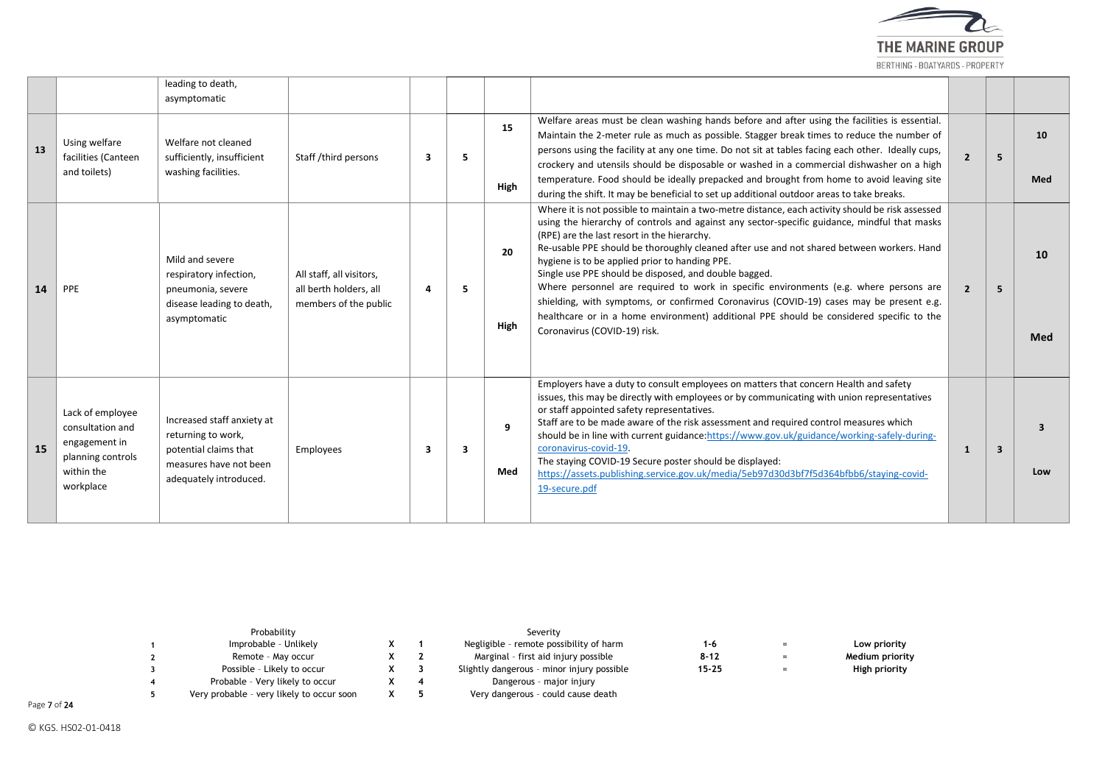

|           |                                                                                                       | leading to death,<br>asymptomatic                                                                                             |                                                                             |   |   |                   |                                                                                                                                                                                                                                                                                                                                                                                                                                                                                                                                                                                                                                                                                                                                                                         |                |    |           |
|-----------|-------------------------------------------------------------------------------------------------------|-------------------------------------------------------------------------------------------------------------------------------|-----------------------------------------------------------------------------|---|---|-------------------|-------------------------------------------------------------------------------------------------------------------------------------------------------------------------------------------------------------------------------------------------------------------------------------------------------------------------------------------------------------------------------------------------------------------------------------------------------------------------------------------------------------------------------------------------------------------------------------------------------------------------------------------------------------------------------------------------------------------------------------------------------------------------|----------------|----|-----------|
| 13        | Using welfare<br>facilities (Canteen<br>and toilets)                                                  | Welfare not cleaned<br>sufficiently, insufficient<br>washing facilities.                                                      | Staff /third persons                                                        | 3 | 5 | 15<br><b>High</b> | Welfare areas must be clean washing hands before and after using the facilities is essential.<br>Maintain the 2-meter rule as much as possible. Stagger break times to reduce the number of<br>persons using the facility at any one time. Do not sit at tables facing each other. Ideally cups,<br>crockery and utensils should be disposable or washed in a commercial dishwasher on a high<br>temperature. Food should be ideally prepacked and brought from home to avoid leaving site<br>during the shift. It may be beneficial to set up additional outdoor areas to take breaks.                                                                                                                                                                                 | $\overline{2}$ | 5. | 10<br>Med |
| 14        | PPE                                                                                                   | Mild and severe<br>respiratory infection,<br>pneumonia, severe<br>disease leading to death,<br>asymptomatic                   | All staff, all visitors,<br>all berth holders, all<br>members of the public | 4 | 5 | 20<br>High        | Where it is not possible to maintain a two-metre distance, each activity should be risk assessed<br>using the hierarchy of controls and against any sector-specific guidance, mindful that masks<br>(RPE) are the last resort in the hierarchy.<br>Re-usable PPE should be thoroughly cleaned after use and not shared between workers. Hand<br>hygiene is to be applied prior to handing PPE.<br>Single use PPE should be disposed, and double bagged.<br>Where personnel are required to work in specific environments (e.g. where persons are<br>shielding, with symptoms, or confirmed Coronavirus (COVID-19) cases may be present e.g.<br>healthcare or in a home environment) additional PPE should be considered specific to the<br>Coronavirus (COVID-19) risk. | $\overline{2}$ | 5  | 10<br>Med |
| <b>15</b> | Lack of employee<br>consultation and<br>engagement in<br>planning controls<br>within the<br>workplace | Increased staff anxiety at<br>returning to work,<br>potential claims that<br>measures have not been<br>adequately introduced. | Employees                                                                   | 3 | 3 | 9<br>Med          | Employers have a duty to consult employees on matters that concern Health and safety<br>issues, this may be directly with employees or by communicating with union representatives<br>or staff appointed safety representatives.<br>Staff are to be made aware of the risk assessment and required control measures which<br>should be in line with current guidance: https://www.gov.uk/guidance/working-safely-during-<br>coronavirus-covid-19.<br>The staying COVID-19 Secure poster should be displayed:<br>https://assets.publishing.service.gov.uk/media/5eb97d30d3bf7f5d364bfbb6/staying-covid-<br>19-secure.pdf                                                                                                                                                 | 1              | 3  | ર<br>Low  |

| Probability                               |  | Severity                                   |           |     |                 |
|-------------------------------------------|--|--------------------------------------------|-----------|-----|-----------------|
| Improbable - Unlikely                     |  | Negligible - remote possibility of harm    | 1-6       |     | Low priority    |
| Remote - May occur                        |  | Marginal - first aid injury possible       | 8-12      | $=$ | Medium priority |
| Possible - Likely to occur                |  | Slightly dangerous - minor injury possible | $15 - 25$ |     | High priority   |
| Probable - Very likely to occur           |  | Dangerous - major injury                   |           |     |                 |
| Very probable - very likely to occur soon |  | Very dangerous - could cause death         |           |     |                 |

Page 7 of 24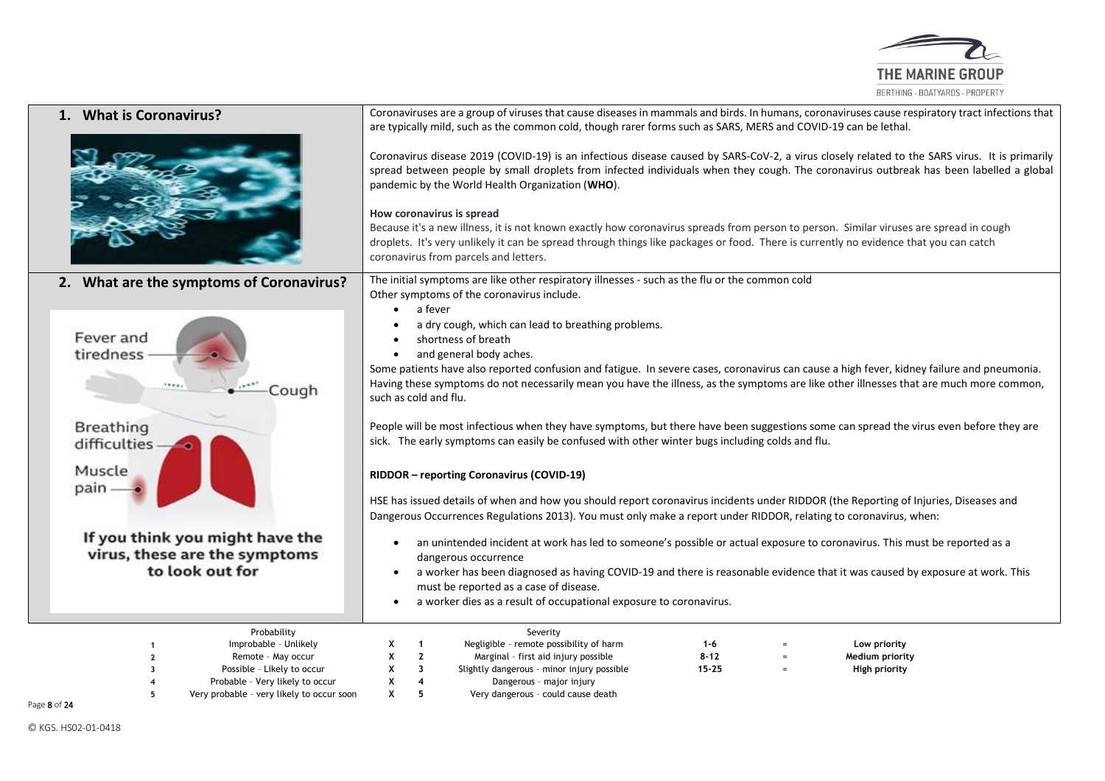

| 1. What is Coronavirus?                                                                                                                                                  | Coronaviruses are a group of viruses that cause diseases in mammals and birds. In humans, coronaviruses cause respiratory tract infections that<br>are typically mild, such as the common cold, though rarer forms such as SARS, MERS and COVID-19 can be lethal.                                                                                                                                                                                                                                                                                                                                                                                                                                    |  |  |  |  |  |  |  |
|--------------------------------------------------------------------------------------------------------------------------------------------------------------------------|------------------------------------------------------------------------------------------------------------------------------------------------------------------------------------------------------------------------------------------------------------------------------------------------------------------------------------------------------------------------------------------------------------------------------------------------------------------------------------------------------------------------------------------------------------------------------------------------------------------------------------------------------------------------------------------------------|--|--|--|--|--|--|--|
|                                                                                                                                                                          | Coronavirus disease 2019 (COVID-19) is an infectious disease caused by SARS-CoV-2, a virus closely related to the SARS virus. It is primarily<br>spread between people by small droplets from infected individuals when they cough. The coronavirus outbreak has been labelled a global<br>pandemic by the World Health Organization (WHO).<br>How coronavirus is spread<br>Because it's a new illness, it is not known exactly how coronavirus spreads from person to person. Similar viruses are spread in cough<br>droplets. It's very unlikely it can be spread through things like packages or food. There is currently no evidence that you can catch<br>coronavirus from parcels and letters. |  |  |  |  |  |  |  |
| 2. What are the symptoms of Coronavirus?                                                                                                                                 | The initial symptoms are like other respiratory illnesses - such as the flu or the common cold<br>Other symptoms of the coronavirus include.<br>a fever<br>$\bullet$                                                                                                                                                                                                                                                                                                                                                                                                                                                                                                                                 |  |  |  |  |  |  |  |
| Fever and<br>tiredness<br>18880<br>Cough                                                                                                                                 | a dry cough, which can lead to breathing problems.<br>shortness of breath<br>and general body aches.<br>$\bullet$<br>Some patients have also reported confusion and fatigue. In severe cases, coronavirus can cause a high fever, kidney failure and pneumonia.<br>Having these symptoms do not necessarily mean you have the illness, as the symptoms are like other illnesses that are much more common,<br>such as cold and flu.                                                                                                                                                                                                                                                                  |  |  |  |  |  |  |  |
| Breathing<br>difficulties                                                                                                                                                | People will be most infectious when they have symptoms, but there have been suggestions some can spread the virus even before they are<br>sick. The early symptoms can easily be confused with other winter bugs including colds and flu.                                                                                                                                                                                                                                                                                                                                                                                                                                                            |  |  |  |  |  |  |  |
| Muscle<br>pain                                                                                                                                                           | RIDDOR - reporting Coronavirus (COVID-19)                                                                                                                                                                                                                                                                                                                                                                                                                                                                                                                                                                                                                                                            |  |  |  |  |  |  |  |
|                                                                                                                                                                          | HSE has issued details of when and how you should report coronavirus incidents under RIDDOR (the Reporting of Injuries, Diseases and<br>Dangerous Occurrences Regulations 2013). You must only make a report under RIDDOR, relating to coronavirus, when:                                                                                                                                                                                                                                                                                                                                                                                                                                            |  |  |  |  |  |  |  |
| If you think you might have the<br>virus, these are the symptoms<br>to look out for                                                                                      | an unintended incident at work has led to someone's possible or actual exposure to coronavirus. This must be reported as a<br>$\bullet$<br>dangerous occurrence<br>a worker has been diagnosed as having COVID-19 and there is reasonable evidence that it was caused by exposure at work. This<br>$\bullet$<br>must be reported as a case of disease.<br>a worker dies as a result of occupational exposure to coronavirus.                                                                                                                                                                                                                                                                         |  |  |  |  |  |  |  |
| Probability<br>Improbable - Unlikely<br>Remote - May occur<br>Possible - Likely to occur<br>Probable - Very likely to occur<br>Very probable - very likely to occur soon | Severity<br>Negligible - remote possibility of harm<br>Low priority<br>-1<br>1-6<br>$\overline{2}$<br>x<br>Marginal - first aid injury possible<br>$8 - 12$<br>Medium priority<br>X<br>3<br>Slightly dangerous - minor injury possible<br>$15 - 25$<br>High priority<br>х<br>4<br>Dangerous - major injury<br>X<br>5<br>Very dangerous - could cause death                                                                                                                                                                                                                                                                                                                                           |  |  |  |  |  |  |  |

Page 8 of 24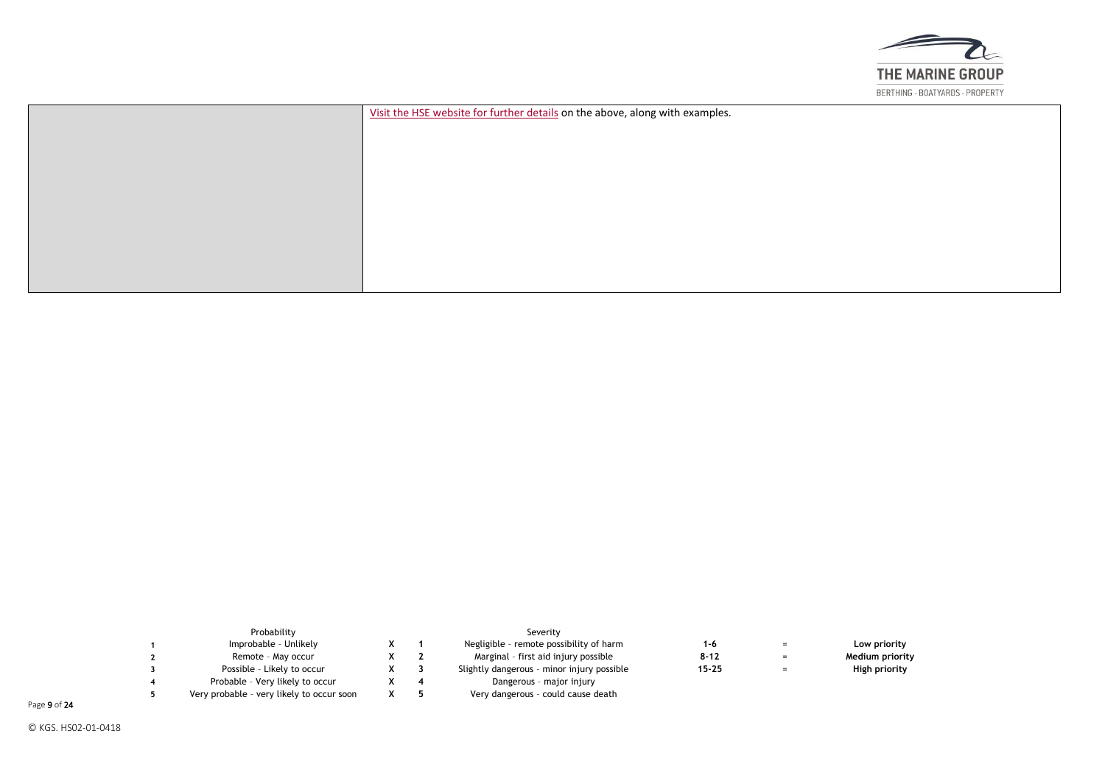

| Visit the HSE website for further details on the above, along with examples. |
|------------------------------------------------------------------------------|
|                                                                              |
|                                                                              |
|                                                                              |
|                                                                              |
|                                                                              |
|                                                                              |
|                                                                              |
|                                                                              |
|                                                                              |
|                                                                              |

| Probability                               |  | Severity                                   |           |     |                 |
|-------------------------------------------|--|--------------------------------------------|-----------|-----|-----------------|
| Improbable - Unlikely                     |  | Negligible - remote possibility of harm    | 1-6       |     | Low priority    |
| Remote - May occur                        |  | Marginal - first aid injury possible       | $8 - 12$  | $=$ | Medium priority |
| Possible - Likely to occur                |  | Slightly dangerous - minor injury possible | $15 - 25$ |     | High priority   |
| Probable - Very likely to occur           |  | Dangerous - major injury                   |           |     |                 |
| Very probable - very likely to occur soon |  | Very dangerous - could cause death         |           |     |                 |

Page 9 of 24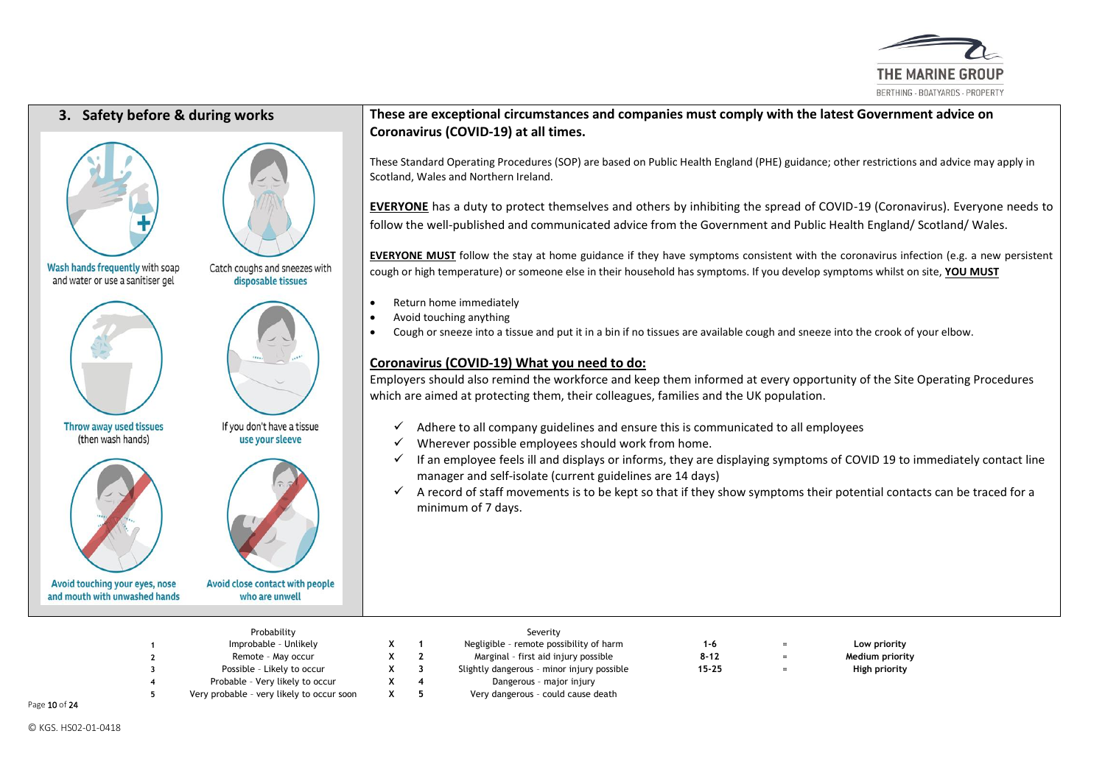





Wash hands frequently with soap and water or use a sanitiser gel



Avoid touching your eyes, nose

and mouth with unwashed hands



Throw away used tissues



If you don't have a tissue use your sleeve

Avoid close contact with people who are unwell

## **3. Safety before & during works These are exceptional circumstances and companies must comply with the latest Government advice on Coronavirus (COVID-19) at all times.**

These Standard Operating Procedures (SOP) are based on Public Health England (PHE) guidance; other restrictions and advice may apply in Scotland, Wales and Northern Ireland.

**EVERYONE** has a duty to protect themselves and others by inhibiting the spread of COVID-19 (Coronavirus). Everyone needs to follow the well-published and communicated advice from the Government and Public Health England/ Scotland/ Wales.

**EVERYONE MUST** follow the stay at home guidance if they have symptoms consistent with the coronavirus infection (e.g. a new persistent cough or high temperature) or someone else in their household has symptoms. If you develop symptoms whilst on site, **YOU MUST**

- Return home immediately
- Avoid touching anything
- Cough or sneeze into a tissue and put it in a bin if no tissues are available cough and sneeze into the crook of your elbow.

## **[Coronavirus \(COVID-19\) What you need to do:](https://www.gov.uk/coronavirus)**

Employers should also remind the workforce and keep them informed at every opportunity of the Site Operating Procedures which are aimed at protecting them, their colleagues, families and the UK population.

- $\checkmark$  Adhere to all company guidelines and ensure this is communicated to all employees
- $\checkmark$  Wherever possible employees should work from home.
- $\checkmark$  If an employee feels ill and displays or informs, they are displaying symptoms of COVID 19 to immediately contact line manager and self-isolate (current guidelines are 14 days)
- $\checkmark$  A record of staff movements is to be kept so that if they show symptoms their potential contacts can be traced for a minimum of 7 days.

| Improbable - Unlikely                     |   |     |                                            |           |          |                 |
|-------------------------------------------|---|-----|--------------------------------------------|-----------|----------|-----------------|
|                                           |   |     | Negligible - remote possibility of harm    | 1-6       | $=$      | Low priority    |
| Remote - May occur                        |   |     | Marginal - first aid injury possible       | $8 - 12$  | $=$      | Medium priority |
| Possible - Likely to occur                | x |     | Slightly dangerous - minor injury possible | $15 - 25$ | $\equiv$ | High priority   |
| Probable - Very likely to occur           | х | -4  | Dangerous - major injury                   |           |          |                 |
| Very probable - very likely to occur soon | x | - 5 | Very dangerous - could cause death         |           |          |                 |
|                                           |   |     |                                            |           |          |                 |

Page 10 of 24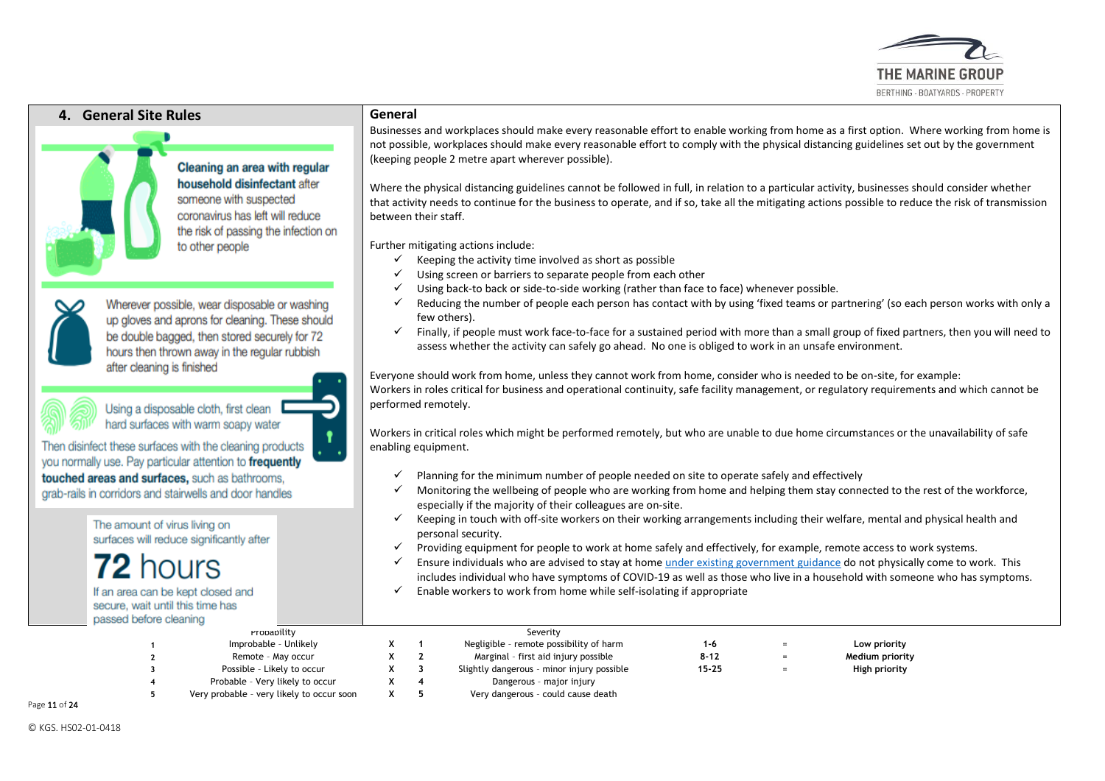

## **4. General Site Rules General**

# Cleaning an area with regular household disinfectant after

someone with suspected coronavirus has left will reduce the risk of passing the infection on to other people

Wherever possible, wear disposable or washing up gloves and aprons for cleaning. These should be double bagged, then stored securely for 72 hours then thrown away in the regular rubbish after cleaning is finished

Using a disposable cloth, first clean hard surfaces with warm soapy water

Then disinfect these surfaces with the cleaning products you normally use. Pay particular attention to frequently touched areas and surfaces, such as bathrooms, grab-rails in corridors and stairwells and door handles

> The amount of virus living on surfaces will reduce significantly after

If an area can be kept closed and

secure, wait until this time has nassed hefore cleaning

Businesses and workplaces should make every reasonable effort to enable working from home as a first option. Where working from home is not possible, workplaces should make every reasonable effort to comply with the physical distancing guidelines set out by the government (keeping people 2 metre apart wherever possible).

Where the physical distancing guidelines cannot be followed in full, in relation to a particular activity, businesses should consider whether that activity needs to continue for the business to operate, and if so, take all the mitigating actions possible to reduce the risk of transmission between their staff.

Further mitigating actions include:

- $\checkmark$  Keeping the activity time involved as short as possible
- ✓ Using screen or barriers to separate people from each other
- $\checkmark$  Using back-to back or side-to-side working (rather than face to face) whenever possible.
- $\checkmark$  Reducing the number of people each person has contact with by using 'fixed teams or partnering' (so each person works with only a few others).
- ✓ Finally, if people must work face-to-face for a sustained period with more than a small group of fixed partners, then you will need to assess whether the activity can safely go ahead. No one is obliged to work in an unsafe environment.

Everyone should work from home, unless they cannot work from home, consider who is needed to be on-site, for example: Workers in roles critical for business and operational continuity, safe facility management, or regulatory requirements and which cannot be performed remotely.

Workers in critical roles which might be performed remotely, but who are unable to due home circumstances or the unavailability of safe enabling equipment.

- ✓ Planning for the minimum number of people needed on site to operate safely and effectively
- $\checkmark$  Monitoring the wellbeing of people who are working from home and helping them stay connected to the rest of the workforce, especially if the majority of their colleagues are on-site.
- ✓ Keeping in touch with off-site workers on their working arrangements including their welfare, mental and physical health and personal security.
- ✓ Providing equipment for people to work at home safely and effectively, for example, remote access to work systems.
- $\checkmark$  Ensure individuals who are advised to stay at home [under existing government guidance](https://www.gov.uk/government/publications/covid-19-stay-at-home-guidance) do not physically come to work. This includes individual who have symptoms of COVID-19 as well as those who live in a household with someone who has symptoms.  $\checkmark$  Enable workers to work from home while self-isolating if appropriate

| _________________ |                                           |  |                                            |           |     |                 |  |
|-------------------|-------------------------------------------|--|--------------------------------------------|-----------|-----|-----------------|--|
|                   | rropapility                               |  | Severity                                   |           |     |                 |  |
|                   | Improbable - Unlikely                     |  | Negligible - remote possibility of harm    | 1-6       |     | Low priority    |  |
|                   | Remote - May occur                        |  | Marginal - first aid injury possible       | $8 - 12$  | $=$ | Medium priority |  |
|                   | Possible - Likely to occur                |  | Slightly dangerous - minor injury possible | $15 - 25$ |     | High priority   |  |
|                   | Probable - Very likely to occur           |  | Dangerous - major injury                   |           |     |                 |  |
|                   | Very probable - very likely to occur soon |  | Very dangerous - could cause death         |           |     |                 |  |

Page 11 of 24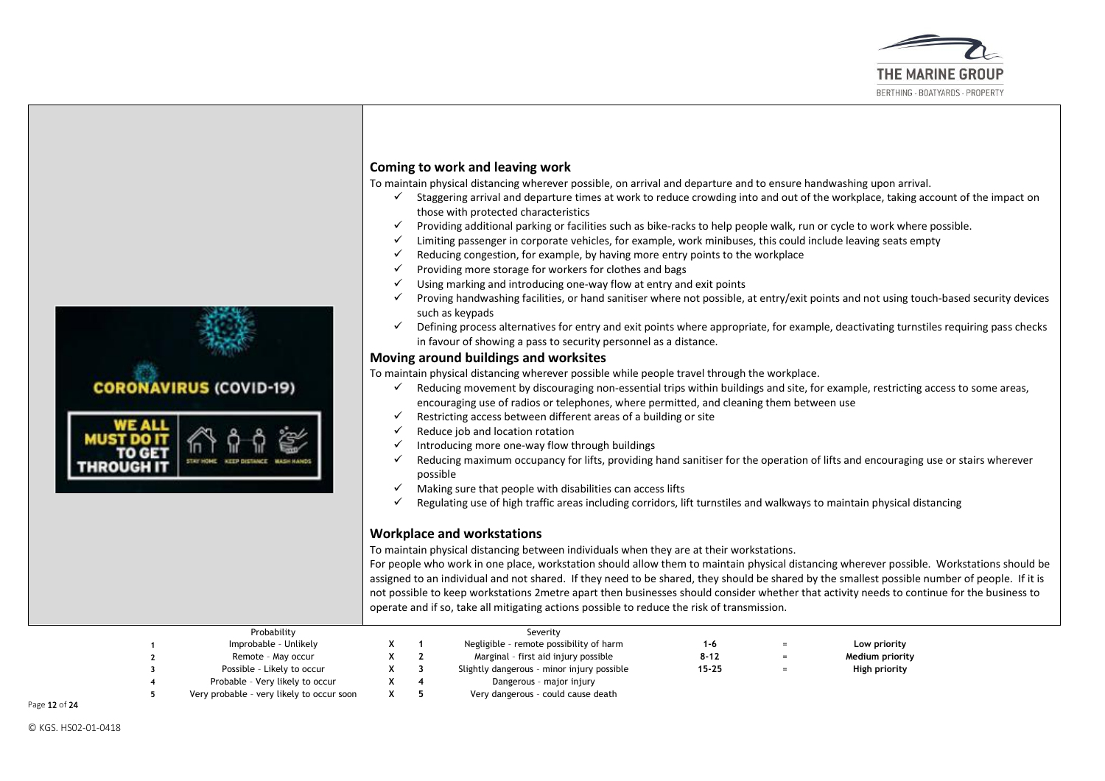



To maintain physical distancing wherever possible, on arrival and departure and to ensure handwashing upon arrival.

- $\checkmark$  Staggering arrival and departure times at work to reduce crowding into and out of the workplace, taking account of the impact on those with protected characteristics
- $\checkmark$  Providing additional parking or facilities such as bike-racks to help people walk, run or cycle to work where possible.
- $\checkmark$  Limiting passenger in corporate vehicles, for example, work minibuses, this could include leaving seats empty
- $\checkmark$  Reducing congestion, for example, by having more entry points to the workplace
- $\checkmark$  Providing more storage for workers for clothes and bags
- $\checkmark$  Using marking and introducing one-way flow at entry and exit points
- $\checkmark$  Proving handwashing facilities, or hand sanitiser where not possible, at entry/exit points and not using touch-based security devices such as keypads
- $\checkmark$  Defining process alternatives for entry and exit points where appropriate, for example, deactivating turnstiles requiring pass checks in favour of showing a pass to security personnel as a distance.

#### **Moving around buildings and worksites**

To maintain physical distancing wherever possible while people travel through the workplace.

- ✓ Reducing movement by discouraging non-essential trips within buildings and site, for example, restricting access to some areas, encouraging use of radios or telephones, where permitted, and cleaning them between use
- $\checkmark$  Restricting access between different areas of a building or site
- $\checkmark$  Reduce job and location rotation
- $\checkmark$  Introducing more one-way flow through buildings
- $\checkmark$  Reducing maximum occupancy for lifts, providing hand sanitiser for the operation of lifts and encouraging use or stairs wherever possible
- $\checkmark$  Making sure that people with disabilities can access lifts
- ✓ Regulating use of high traffic areas including corridors, lift turnstiles and walkways to maintain physical distancing

#### **Workplace and workstations**

To maintain physical distancing between individuals when they are at their workstations.

For people who work in one place, workstation should allow them to maintain physical distancing wherever possible. Workstations should be assigned to an individual and not shared. If they need to be shared, they should be shared by the smallest possible number of people. If it is not possible to keep workstations 2metre apart then businesses should consider whether that activity needs to continue for the business to operate and if so, take all mitigating actions possible to reduce the risk of transmission.

|  | Probability                               |  | Severity                                   |           |                 |  |
|--|-------------------------------------------|--|--------------------------------------------|-----------|-----------------|--|
|  | Improbable - Unlikely                     |  | Negligible - remote possibility of harm    | 1-6       | Low priority    |  |
|  | Remote - May occur                        |  | Marginal - first aid injury possible       | $8 - 12$  | Medium priority |  |
|  | Possible - Likely to occur                |  | Slightly dangerous - minor injury possible | $15 - 25$ | High priority   |  |
|  | Probable - Very likely to occur           |  | Dangerous - major injury                   |           |                 |  |
|  | Very probable - very likely to occur soon |  | Very dangerous - could cause death         |           |                 |  |
|  |                                           |  |                                            |           |                 |  |

Page 12 of 24

**CORONAVIRUS (COVID-19)**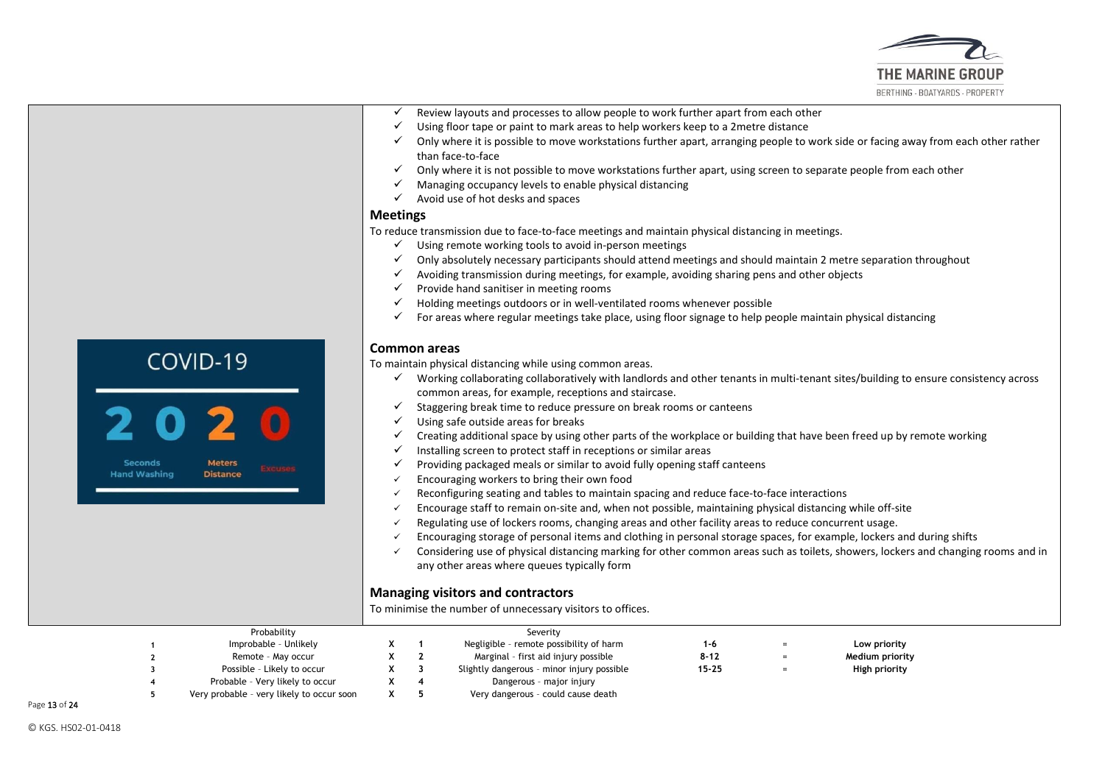

- $\checkmark$  Review layouts and processes to allow people to work further apart from each other
- $\checkmark$  Using floor tape or paint to mark areas to help workers keep to a 2metre distance
- $\checkmark$  Only where it is possible to move workstations further apart, arranging people to work side or facing away from each other rather than face-to-face
- $\checkmark$  Only where it is not possible to move workstations further apart, using screen to separate people from each other
- $\checkmark$  Managing occupancy levels to enable physical distancing
- $\checkmark$  Avoid use of hot desks and spaces

#### **Meetings**

To reduce transmission due to face-to-face meetings and maintain physical distancing in meetings.

- ✓ Using remote working tools to avoid in-person meetings
- ✓ Only absolutely necessary participants should attend meetings and should maintain 2 metre separation throughout
- $\checkmark$  Avoiding transmission during meetings, for example, avoiding sharing pens and other objects
- $\checkmark$  Provide hand sanitiser in meeting rooms
- $\checkmark$  Holding meetings outdoors or in well-ventilated rooms whenever possible
- $\checkmark$  For areas where regular meetings take place, using floor signage to help people maintain physical distancing

#### **Common areas**

To maintain physical distancing while using common areas.

- ✓ Working collaborating collaboratively with landlords and other tenants in multi-tenant sites/building to ensure consistency across common areas, for example, receptions and staircase.
- $\checkmark$  Staggering break time to reduce pressure on break rooms or canteens
- ✓ Using safe outside areas for breaks
- $\checkmark$  Creating additional space by using other parts of the workplace or building that have been freed up by remote working
- $\checkmark$  Installing screen to protect staff in receptions or similar areas
- $\checkmark$  Providing packaged meals or similar to avoid fully opening staff canteens
- $\checkmark$  Encouraging workers to bring their own food
- ✓ Reconfiguring seating and tables to maintain spacing and reduce face-to-face interactions
- ✓ Encourage staff to remain on-site and, when not possible, maintaining physical distancing while off-site
- $\checkmark$  Regulating use of lockers rooms, changing areas and other facility areas to reduce concurrent usage.
- ✓ Encouraging storage of personal items and clothing in personal storage spaces, for example, lockers and during shifts
- ✓ Considering use of physical distancing marking for other common areas such as toilets, showers, lockers and changing rooms and in any other areas where queues typically form

#### **Managing visitors and contractors**

To minimise the number of unnecessary visitors to offices.

| Probability                               |  | Severity                                   |           |                 |  |
|-------------------------------------------|--|--------------------------------------------|-----------|-----------------|--|
| Improbable - Unlikely                     |  | Negligible - remote possibility of harm    | 1-6       | Low priority    |  |
| Remote - May occur                        |  | Marginal - first aid injury possible       | $8 - 12$  | Medium priority |  |
| Possible - Likely to occur                |  | Slightly dangerous - minor injury possible | $15 - 25$ | High priority   |  |
| Probable - Very likely to occur           |  | Dangerous - major injury                   |           |                 |  |
| Very probable - very likely to occur soon |  | Very dangerous - could cause death         |           |                 |  |

Page 13 of 24

COVID-19

**Meters** 

**Distance** 

Seconds

**Hand Washing**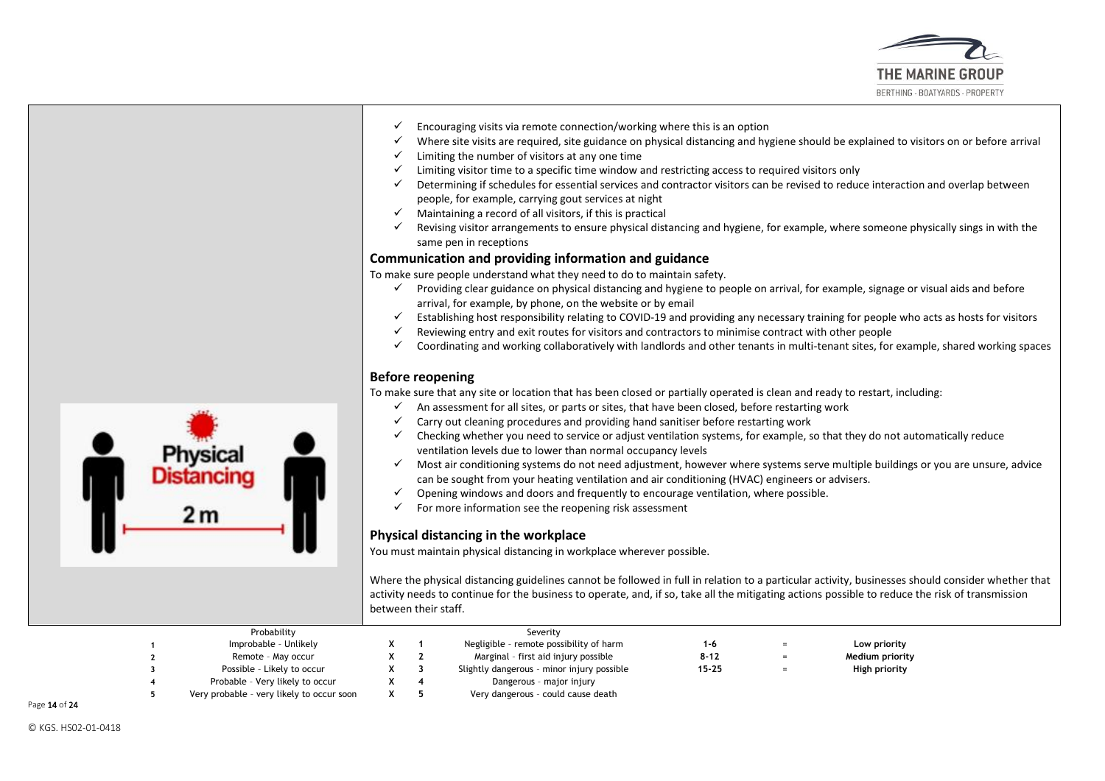

- $\checkmark$  Encouraging visits via remote connection/working where this is an option
- ✓ Where site visits are required, site guidance on physical distancing and hygiene should be explained to visitors on or before arrival
- $\checkmark$  Limiting the number of visitors at any one time
- $\checkmark$  Limiting visitor time to a specific time window and restricting access to required visitors only
- ✓ Determining if schedules for essential services and contractor visitors can be revised to reduce interaction and overlap between people, for example, carrying gout services at night
- $\checkmark$  Maintaining a record of all visitors, if this is practical
- $\checkmark$  Revising visitor arrangements to ensure physical distancing and hygiene, for example, where someone physically sings in with the same pen in receptions

#### **Communication and providing information and guidance**

To make sure people understand what they need to do to maintain safety.

- ✓ Providing clear guidance on physical distancing and hygiene to people on arrival, for example, signage or visual aids and before arrival, for example, by phone, on the website or by email
- ✓ Establishing host responsibility relating to COVID-19 and providing any necessary training for people who acts as hosts for visitors
- $\checkmark$  Reviewing entry and exit routes for visitors and contractors to minimise contract with other people
- ✓ Coordinating and working collaboratively with landlords and other tenants in multi-tenant sites, for example, shared working spaces

#### **Before reopening**

To make sure that any site or location that has been closed or partially operated is clean and ready to restart, including:

- $\checkmark$  An assessment for all sites, or parts or sites, that have been closed, before restarting work
- $\checkmark$  Carry out cleaning procedures and providing hand sanitiser before restarting work
- $\checkmark$  Checking whether you need to service or adjust ventilation systems, for example, so that they do not automatically reduce ventilation levels due to lower than normal occupancy levels
- ✓ Most air conditioning systems do not need adjustment, however where systems serve multiple buildings or you are unsure, advice can be sought from your heating ventilation and air conditioning (HVAC) engineers or advisers.
- $\checkmark$  Opening windows and doors and frequently to encourage ventilation, where possible.
- ✓ For more information see the reopening risk assessment

## **Physical distancing in the workplace**

You must maintain physical distancing in workplace wherever possible.

Where the physical distancing guidelines cannot be followed in full in relation to a particular activity, businesses should consider whether that activity needs to continue for the business to operate, and, if so, take all the mitigating actions possible to reduce the risk of transmission between their staff.

| Probability                               |  | Severity                                   |           |     |                 |  |
|-------------------------------------------|--|--------------------------------------------|-----------|-----|-----------------|--|
| Improbable - Unlikely                     |  | Negligible - remote possibility of harm    | 1-6       | $=$ | Low priority    |  |
| Remote - May occur                        |  | Marginal - first aid injury possible       | $8 - 12$  |     | Medium priority |  |
| Possible - Likely to occur                |  | Slightly dangerous - minor injury possible | $15 - 25$ |     | High priority   |  |
| Probable - Very likely to occur           |  | Dangerous - major injury                   |           |     |                 |  |
| Very probable - very likely to occur soon |  | Very dangerous - could cause death         |           |     |                 |  |

Page 14 of 24

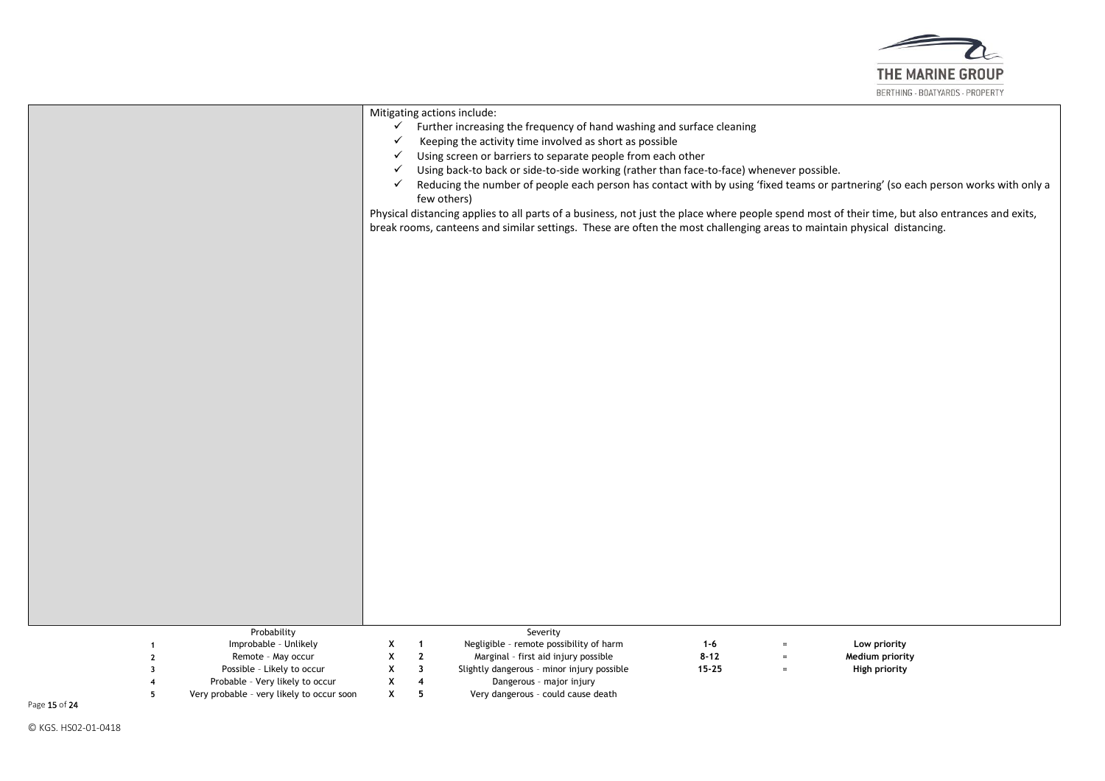

|                         |                                                                                                            | $\checkmark$<br>$\checkmark$<br>✓<br>$\checkmark$ |                                   | Mitigating actions include:<br>Further increasing the frequency of hand washing and surface cleaning<br>Keeping the activity time involved as short as possible<br>Using screen or barriers to separate people from each other<br>Using back-to back or side-to-side working (rather than face-to-face) whenever possible. |           |          |                                                                                                                                                 |
|-------------------------|------------------------------------------------------------------------------------------------------------|---------------------------------------------------|-----------------------------------|----------------------------------------------------------------------------------------------------------------------------------------------------------------------------------------------------------------------------------------------------------------------------------------------------------------------------|-----------|----------|-------------------------------------------------------------------------------------------------------------------------------------------------|
|                         |                                                                                                            | ✓                                                 |                                   | few others)                                                                                                                                                                                                                                                                                                                |           |          | Reducing the number of people each person has contact with by using 'fixed teams or partnering' (so each person works with only a               |
|                         |                                                                                                            |                                                   |                                   |                                                                                                                                                                                                                                                                                                                            |           |          | Physical distancing applies to all parts of a business, not just the place where people spend most of their time, but also entrances and exits, |
|                         |                                                                                                            |                                                   |                                   | break rooms, canteens and similar settings. These are often the most challenging areas to maintain physical distancing.                                                                                                                                                                                                    |           |          |                                                                                                                                                 |
|                         |                                                                                                            |                                                   |                                   |                                                                                                                                                                                                                                                                                                                            |           |          |                                                                                                                                                 |
|                         |                                                                                                            |                                                   |                                   |                                                                                                                                                                                                                                                                                                                            |           |          |                                                                                                                                                 |
|                         |                                                                                                            |                                                   |                                   |                                                                                                                                                                                                                                                                                                                            |           |          |                                                                                                                                                 |
|                         |                                                                                                            |                                                   |                                   |                                                                                                                                                                                                                                                                                                                            |           |          |                                                                                                                                                 |
|                         |                                                                                                            |                                                   |                                   |                                                                                                                                                                                                                                                                                                                            |           |          |                                                                                                                                                 |
|                         |                                                                                                            |                                                   |                                   |                                                                                                                                                                                                                                                                                                                            |           |          |                                                                                                                                                 |
|                         |                                                                                                            |                                                   |                                   |                                                                                                                                                                                                                                                                                                                            |           |          |                                                                                                                                                 |
|                         |                                                                                                            |                                                   |                                   |                                                                                                                                                                                                                                                                                                                            |           |          |                                                                                                                                                 |
|                         |                                                                                                            |                                                   |                                   |                                                                                                                                                                                                                                                                                                                            |           |          |                                                                                                                                                 |
|                         |                                                                                                            |                                                   |                                   |                                                                                                                                                                                                                                                                                                                            |           |          |                                                                                                                                                 |
|                         |                                                                                                            |                                                   |                                   |                                                                                                                                                                                                                                                                                                                            |           |          |                                                                                                                                                 |
|                         |                                                                                                            |                                                   |                                   |                                                                                                                                                                                                                                                                                                                            |           |          |                                                                                                                                                 |
|                         |                                                                                                            |                                                   |                                   |                                                                                                                                                                                                                                                                                                                            |           |          |                                                                                                                                                 |
|                         |                                                                                                            |                                                   |                                   |                                                                                                                                                                                                                                                                                                                            |           |          |                                                                                                                                                 |
|                         |                                                                                                            |                                                   |                                   |                                                                                                                                                                                                                                                                                                                            |           |          |                                                                                                                                                 |
|                         |                                                                                                            |                                                   |                                   |                                                                                                                                                                                                                                                                                                                            |           |          |                                                                                                                                                 |
|                         | Probability                                                                                                |                                                   |                                   | Severity                                                                                                                                                                                                                                                                                                                   |           |          |                                                                                                                                                 |
|                         | Improbable - Unlikely                                                                                      | X                                                 | $\mathbf{1}$                      | Negligible - remote possibility of harm                                                                                                                                                                                                                                                                                    | $1 - 6$   |          | Low priority                                                                                                                                    |
| $\mathbf{2}$            | Remote - May occur                                                                                         | X                                                 | $\mathbf{2}$                      | Marginal - first aid injury possible                                                                                                                                                                                                                                                                                       | $8 - 12$  | $=$      | Medium priority                                                                                                                                 |
| $\overline{\mathbf{3}}$ |                                                                                                            |                                                   |                                   |                                                                                                                                                                                                                                                                                                                            |           | $\equiv$ |                                                                                                                                                 |
|                         |                                                                                                            |                                                   |                                   |                                                                                                                                                                                                                                                                                                                            |           |          |                                                                                                                                                 |
| 4<br>5                  | Possible - Likely to occur<br>Probable - Very likely to occur<br>Very probable - very likely to occur soon | Х<br>X<br>X                                       | $\overline{\mathbf{3}}$<br>4<br>5 | Slightly dangerous - minor injury possible<br>Dangerous - major injury<br>Very dangerous - could cause death                                                                                                                                                                                                               | $15 - 25$ |          | High priority                                                                                                                                   |

Page 15 of 24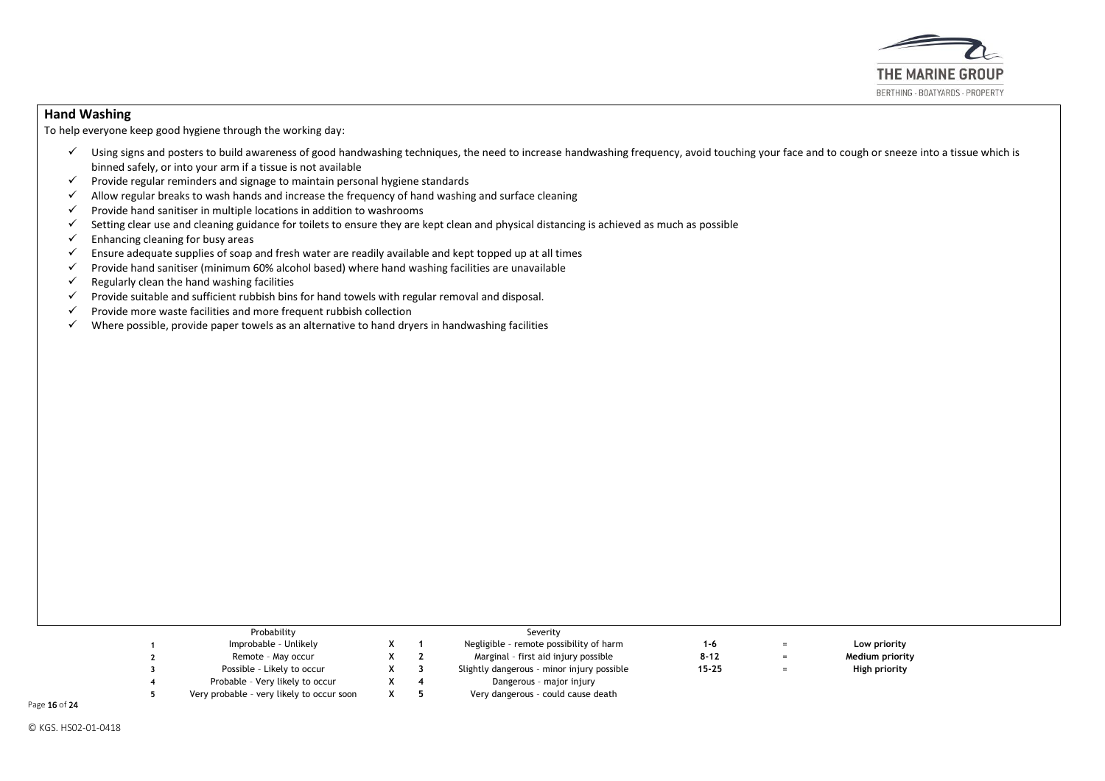

## **Hand Washing**

To help everyone keep good hygiene through the working day:

- $\checkmark$  Using signs and posters to build awareness of good handwashing techniques, the need to increase handwashing frequency, avoid touching your face and to cough or sneeze into a tissue which is binned safely, or into your arm if a tissue is not available
- $\checkmark$  Provide regular reminders and signage to maintain personal hygiene standards
- ✓ Allow regular breaks to wash hands and increase the frequency of hand washing and surface cleaning
- $\checkmark$  Provide hand sanitiser in multiple locations in addition to washrooms
- $\checkmark$  Setting clear use and cleaning guidance for toilets to ensure they are kept clean and physical distancing is achieved as much as possible
- $\checkmark$  Enhancing cleaning for busy areas
- $\checkmark$  Ensure adequate supplies of soap and fresh water are readily available and kept topped up at all times
- $\checkmark$  Provide hand sanitiser (minimum 60% alcohol based) where hand washing facilities are unavailable
- $\checkmark$  Regularly clean the hand washing facilities
- $\checkmark$  Provide suitable and sufficient rubbish bins for hand towels with regular removal and disposal.<br> $\checkmark$  Provide more waste facilities and more frequent rubbish collection
- Provide more waste facilities and more frequent rubbish collection
- $\checkmark$  Where possible, provide paper towels as an alternative to hand dryers in handwashing facilities

| Probability                               |    | Severity                                   |           |     |                 |  |
|-------------------------------------------|----|--------------------------------------------|-----------|-----|-----------------|--|
| Improbable - Unlikely                     |    | Negligible - remote possibility of harm    | 1-6       | $=$ | Low priority    |  |
| Remote - May occur                        |    | Marginal - first aid injury possible       | $8 - 12$  | $=$ | Medium priority |  |
| Possible - Likely to occur                | x. | Slightly dangerous - minor injury possible | $15 - 25$ | $=$ | High priority   |  |
| Probable - Very likely to occur           |    | Dangerous - major injury                   |           |     |                 |  |
| Very probable - very likely to occur soon |    | Very dangerous - could cause death         |           |     |                 |  |

Page 16 of 24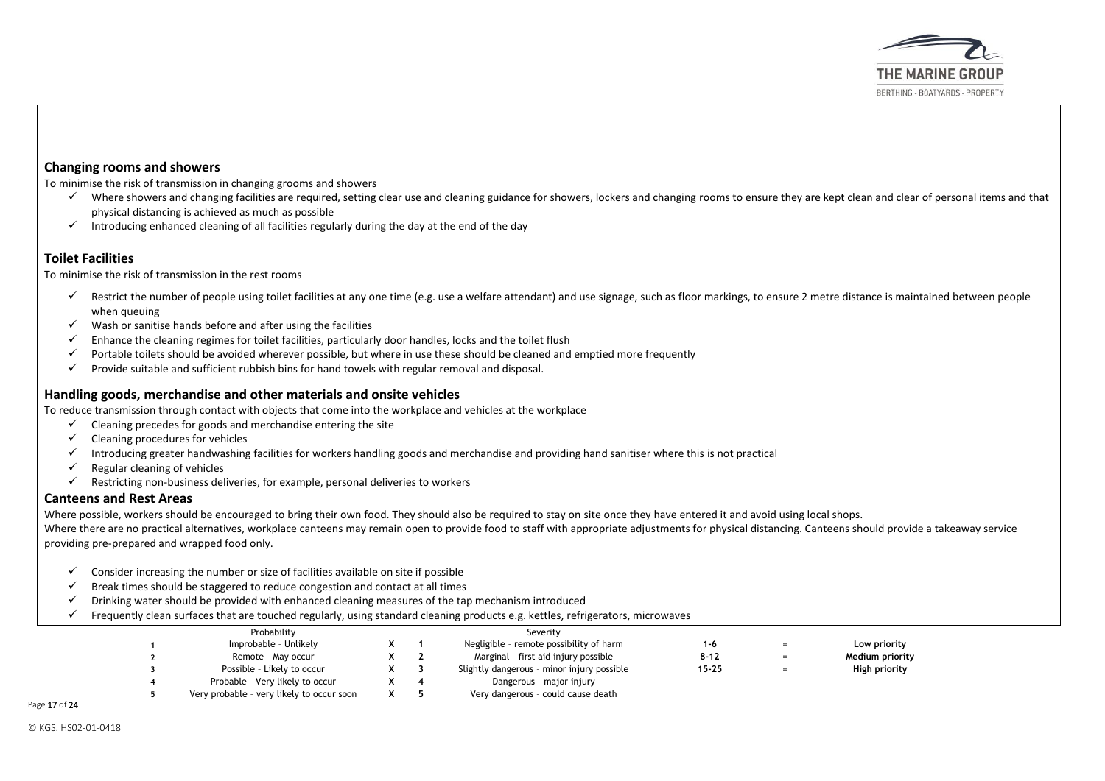

#### **Changing rooms and showers**

To minimise the risk of transmission in changing grooms and showers

- $\checkmark$  Where showers and changing facilities are required, setting clear use and cleaning guidance for showers, lockers and changing rooms to ensure they are kept clean and clear of personal items and that physical distancing is achieved as much as possible
- $\checkmark$  Introducing enhanced cleaning of all facilities regularly during the day at the end of the day

## **Toilet Facilities**

To minimise the risk of transmission in the rest rooms

- Exerct the number of people using toilet facilities at any one time (e.g. use a welfare attendant) and use signage, such as floor markings, to ensure 2 metre distance is maintained between people when queuing
- $\checkmark$  Wash or sanitise hands before and after using the facilities
- $\checkmark$  Enhance the cleaning regimes for toilet facilities, particularly door handles, locks and the toilet flush
- ✓ Portable toilets should be avoided wherever possible, but where in use these should be cleaned and emptied more frequently
- $\checkmark$  Provide suitable and sufficient rubbish bins for hand towels with regular removal and disposal.

#### **Handling goods, merchandise and other materials and onsite vehicles**

To reduce transmission through contact with objects that come into the workplace and vehicles at the workplace

- $\checkmark$  Cleaning precedes for goods and merchandise entering the site
- $\checkmark$  Cleaning procedures for vehicles
- Introducing greater handwashing facilities for workers handling goods and merchandise and providing hand sanitiser where this is not practical
- $\checkmark$  Regular cleaning of vehicles
- $\checkmark$  Restricting non-business deliveries, for example, personal deliveries to workers

## **Canteens and Rest Areas**

Where possible, workers should be encouraged to bring their own food. They should also be required to stay on site once they have entered it and avoid using local shops.

Where there are no practical alternatives, workplace canteens may remain open to provide food to staff with appropriate adjustments for physical distancing. Canteens should provide a takeaway service providing pre-prepared and wrapped food only.

- $\checkmark$  Consider increasing the number or size of facilities available on site if possible
- $\checkmark$  Break times should be staggered to reduce congestion and contact at all times
- $\checkmark$  Drinking water should be provided with enhanced cleaning measures of the tap mechanism introduced
- $\checkmark$  Frequently clean surfaces that are touched regularly, using standard cleaning products e.g. kettles, refrigerators, microwaves

|  | Probability                               |  | Severity                                   |           |     |                 |  |
|--|-------------------------------------------|--|--------------------------------------------|-----------|-----|-----------------|--|
|  | Improbable - Unlikely                     |  | Negligible - remote possibility of harm    | 1-6       |     | Low priority    |  |
|  | Remote - May occur                        |  | Marginal - first aid injury possible       | $8 - 12$  | $=$ | Medium priority |  |
|  | Possible - Likely to occur                |  | Slightly dangerous - minor injury possible | $15 - 25$ |     | High priority   |  |
|  | Probable - Very likely to occur           |  | Dangerous - major injury                   |           |     |                 |  |
|  | Very probable - very likely to occur soon |  | Very dangerous - could cause death         |           |     |                 |  |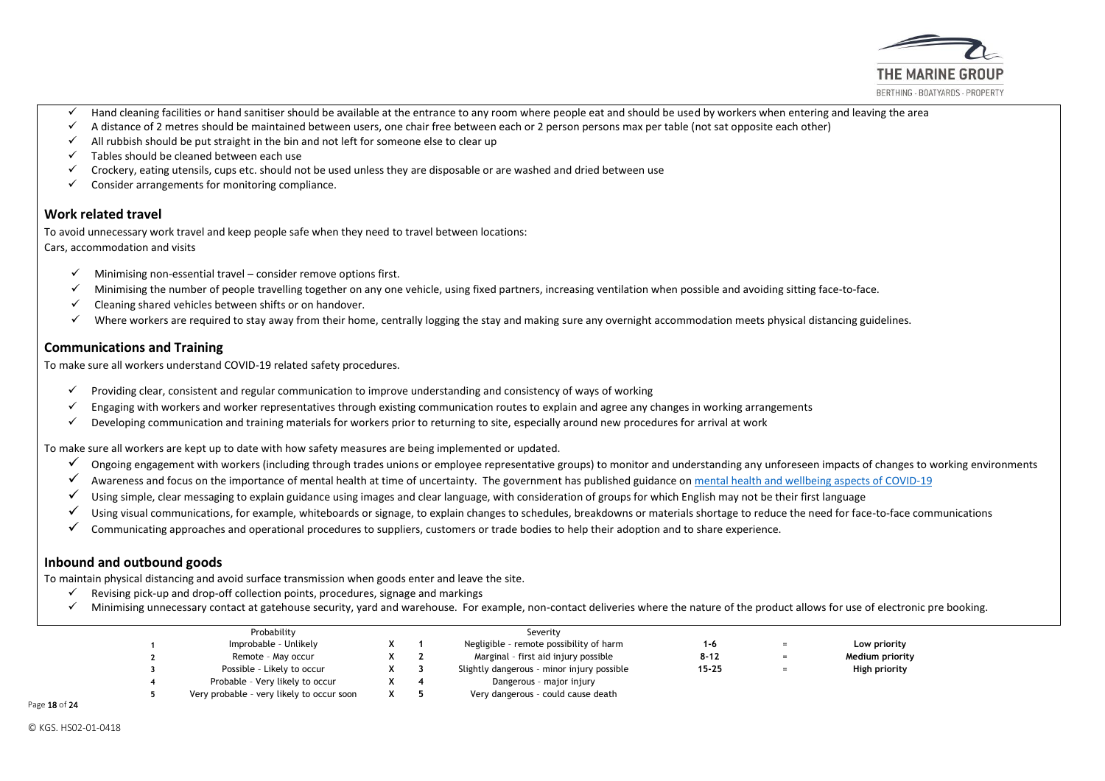

- $\checkmark$  Hand cleaning facilities or hand sanitiser should be available at the entrance to any room where people eat and should be used by workers when entering and leaving the area
- $\checkmark$  A distance of 2 metres should be maintained between users, one chair free between each or 2 person persons max per table (not sat opposite each other)
- $\checkmark$  All rubbish should be put straight in the bin and not left for someone else to clear up
- $\checkmark$  Tables should be cleaned between each use
- $\checkmark$  Crockery, eating utensils, cups etc. should not be used unless they are disposable or are washed and dried between use
- $\checkmark$  Consider arrangements for monitoring compliance.

#### **Work related travel**

To avoid unnecessary work travel and keep people safe when they need to travel between locations: Cars, accommodation and visits

- $\checkmark$  Minimising non-essential travel consider remove options first.
- $\checkmark$  Minimising the number of people travelling together on any one vehicle, using fixed partners, increasing ventilation when possible and avoiding sitting face-to-face.
- $\checkmark$  Cleaning shared vehicles between shifts or on handover.
- $\checkmark$  Where workers are required to stay away from their home, centrally logging the stay and making sure any overnight accommodation meets physical distancing guidelines.

## **Communications and Training**

To make sure all workers understand COVID-19 related safety procedures.

- Providing clear, consistent and regular communication to improve understanding and consistency of ways of working
- $\checkmark$  Engaging with workers and worker representatives through existing communication routes to explain and agree any changes in working arrangements
- Developing communication and training materials for workers prior to returning to site, especially around new procedures for arrival at work

To make sure all workers are kept up to date with how safety measures are being implemented or updated.

- $\checkmark$  Ongoing engagement with workers (including through trades unions or employee representative groups) to monitor and understanding any unforeseen impacts of changes to working environments
- $\checkmark$  Awareness and focus on the importance of mental health at time of uncertainty. The government has published guidance o[n mental health and wellbeing aspects of COVID-19](https://www.gov.uk/government/publications/covid-19-guidance-for-the-public-on-mental-health-and-wellbeing/guidance-for-the-public-on-the-mental-health-and-wellbeing-aspects-of-coronavirus-covid-19)
- $\checkmark$  Using simple, clear messaging to explain guidance using images and clear language, with consideration of groups for which English may not be their first language
- ✓ Using visual communications, for example, whiteboards or signage, to explain changes to schedules, breakdowns or materials shortage to reduce the need for face-to-face communications
- ✓ Communicating approaches and operational procedures to suppliers, customers or trade bodies to help their adoption and to share experience.

#### **Inbound and outbound goods**

To maintain physical distancing and avoid surface transmission when goods enter and leave the site.

- $\checkmark$  Revising pick-up and drop-off collection points, procedures, signage and markings
- $\checkmark$  Minimising unnecessary contact at gatehouse security, yard and warehouse. For example, non-contact deliveries where the nature of the product allows for use of electronic pre booking.

| Probability                               |  | Severity                                   |           |                 |  |
|-------------------------------------------|--|--------------------------------------------|-----------|-----------------|--|
| Improbable - Unlikely                     |  | Negligible - remote possibility of harm    | 1-6       | Low priority    |  |
| Remote - May occur                        |  | Marginal - first aid injury possible       | $8 - 12$  | Medium priority |  |
| Possible - Likely to occur                |  | Slightly dangerous - minor injury possible | $15 - 25$ | High priority   |  |
| Probable - Very likely to occur           |  | Dangerous - major injury                   |           |                 |  |
| Very probable - very likely to occur soon |  | Very dangerous - could cause death         |           |                 |  |

Page 18 of 24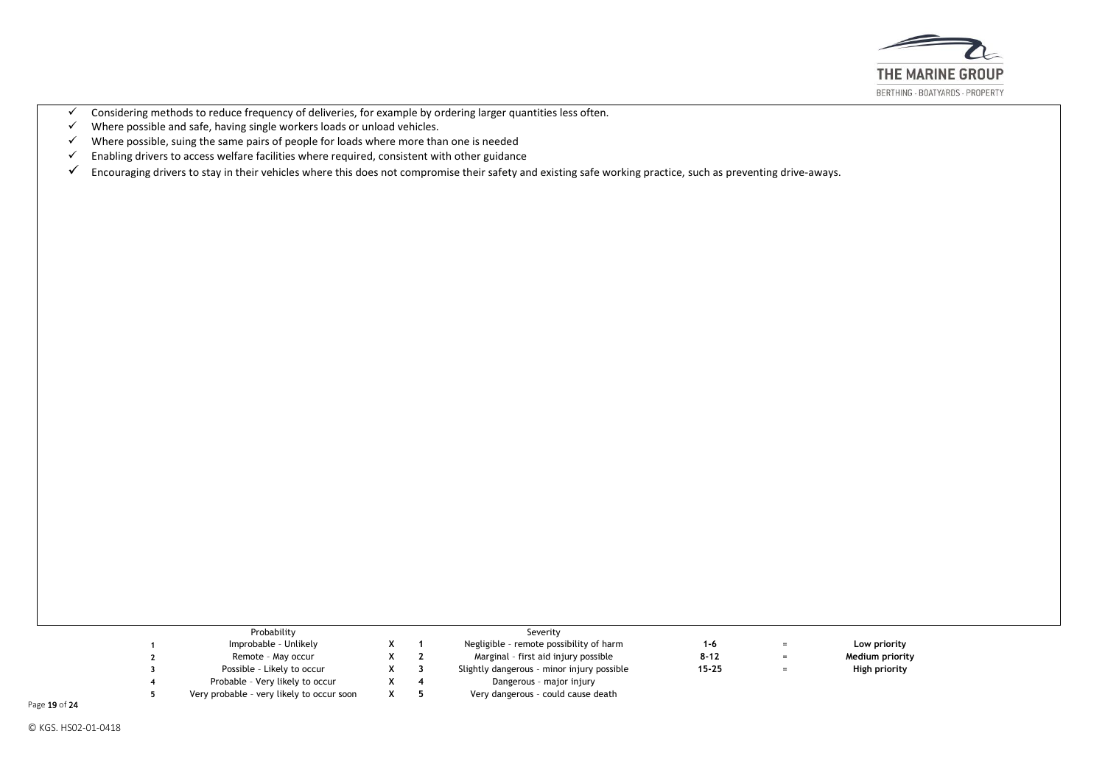

- ✓ Considering methods to reduce frequency of deliveries, for example by ordering larger quantities less often.
- Where possible and safe, having single workers loads or unload vehicles.
- $\checkmark$  Where possible, suing the same pairs of people for loads where more than one is needed  $\checkmark$  Enabling drivers to access welfare facilities where required, consistent with other guidance
- Enabling drivers to access welfare facilities where required, consistent with other guidance
- $\checkmark$  Encouraging drivers to stay in their vehicles where this does not compromise their safety and existing safe working practice, such as preventing drive-aways.

|  | Probability                               |  | Severity                                   |           |     |                 |  |
|--|-------------------------------------------|--|--------------------------------------------|-----------|-----|-----------------|--|
|  | Improbable - Unlikely                     |  | Negligible - remote possibility of harm    | $1 - 6$   | $=$ | Low priority    |  |
|  | Remote - May occur                        |  | Marginal - first aid injury possible       | $8 - 12$  | $=$ | Medium priority |  |
|  | Possible - Likely to occur                |  | Slightly dangerous - minor injury possible | $15 - 25$ | $=$ | High priority   |  |
|  | Probable - Very likely to occur           |  | Dangerous - major injury                   |           |     |                 |  |
|  | Very probable - very likely to occur soon |  | Very dangerous - could cause death         |           |     |                 |  |

Page 19 of 24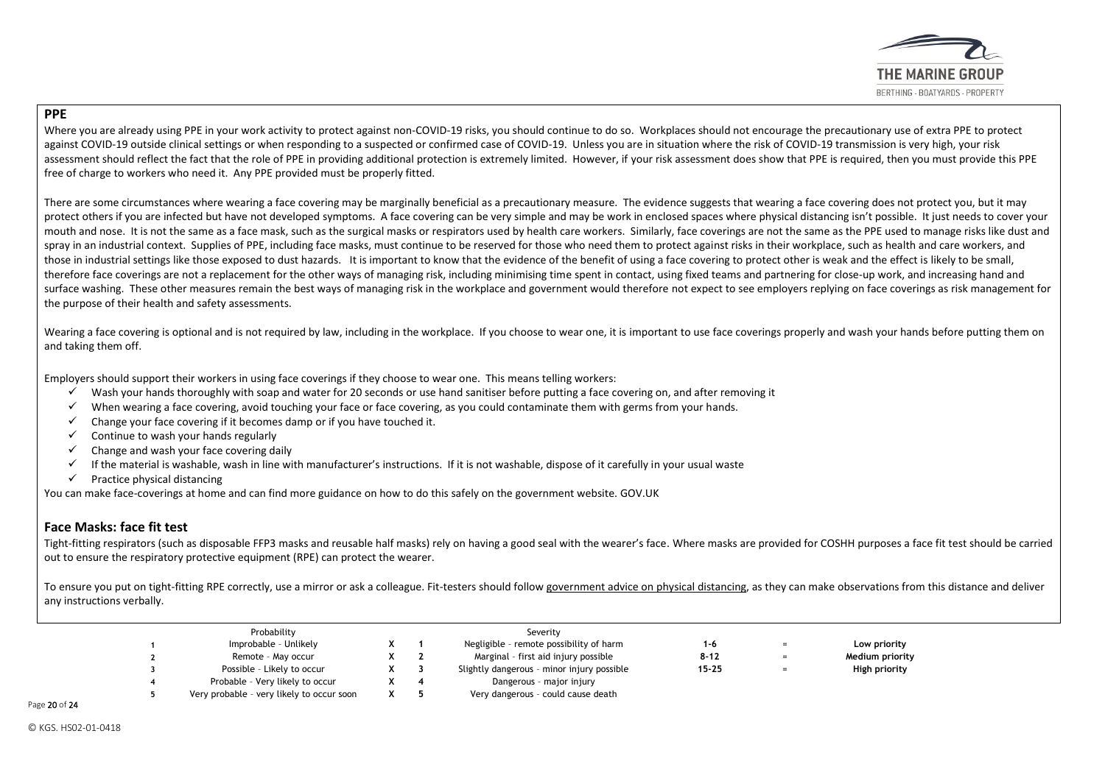

## **PPE**

Where you are already using PPE in your work activity to protect against non-COVID-19 risks, you should continue to do so. Workplaces should not encourage the precautionary use of extra PPE to protect against COVID-19 outside clinical settings or when responding to a suspected or confirmed case of COVID-19. Unless you are in situation where the risk of COVID-19 transmission is very high, your risk assessment should reflect the fact that the role of PPE in providing additional protection is extremely limited. However, if your risk assessment does show that PPE is required, then you must provide this PPE free of charge to workers who need it. Any PPE provided must be properly fitted.

There are some circumstances where wearing a face covering may be marginally beneficial as a precautionary measure. The evidence suggests that wearing a face covering does not protect you, but it may protect others if you are infected but have not developed symptoms. A face covering can be very simple and may be work in enclosed spaces where physical distancing isn't possible. It just needs to cover your mouth and nose. It is not the same as a face mask, such as the surgical masks or respirators used by health care workers. Similarly, face coverings are not the same as the PPE used to manage risks like dust and spray in an industrial context. Supplies of PPE, including face masks, must continue to be reserved for those who need them to protect against risks in their workplace, such as health and care workers, and those in industrial settings like those exposed to dust hazards. It is important to know that the evidence of the benefit of using a face covering to protect other is weak and the effect is likely to be small, therefore face coverings are not a replacement for the other ways of managing risk, including minimising time spent in contact, using fixed teams and partnering for close-up work, and increasing hand and surface washing. These other measures remain the best ways of managing risk in the workplace and government would therefore not expect to see employers replying on face coverings as risk management for the purpose of their health and safety assessments.

Wearing a face covering is optional and is not required by law, including in the workplace. If you choose to wear one, it is important to use face coverings properly and wash your hands before putting them on and taking them off.

Employers should support their workers in using face coverings if they choose to wear one. This means telling workers:<br>V Wash your hands thoroughly with soan and water for 20 seconds or use hand sanitiser before putting a

- Wash your hands thoroughly with soap and water for 20 seconds or use hand sanitiser before putting a face covering on, and after removing it
- $\checkmark$  When wearing a face covering, avoid touching your face or face covering, as you could contaminate them with germs from your hands.
- $\checkmark$  Change your face covering if it becomes damp or if you have touched it.
- $\checkmark$  Continue to wash your hands regularly
- $\checkmark$  Change and wash your face covering daily
- ✓ If the material is washable, wash in line with manufacturer's instructions. If it is not washable, dispose of it carefully in your usual waste
- $\checkmark$  Practice physical distancing

You can make face-coverings at home and can find more guidance on how to do this safely on the government website. GOV.UK

## **[Face Masks: face fit test](https://www.hse.gov.uk/news/face-mask-ppe-rpe-coronavirus.htm)**

Tight-fitting respirators (such as disposable FFP3 masks and reusable half masks) rely on having a good seal with the wearer's face. Where masks are provided for COSHH purposes a face fit test should be carried out to ensure the respiratory protective equipment (RPE) can protect the wearer.

To ensure you put on tight-fitting RPE correctly, use a mirror or ask a colleague. Fit-testers should follo[w government advice on physical](https://www.gov.uk/government/publications/covid-19-guidance-on-social-distancing-and-for-vulnerable-people/guidance-on-social-distancing-for-everyone-in-the-uk-and-protecting-older-people-and-vulnerable-adults) distancing, as they can make observations from this distance and deliver any instructions verbally.

| Probability |                                           |  |  | Severity                                   |           |     |                 |
|-------------|-------------------------------------------|--|--|--------------------------------------------|-----------|-----|-----------------|
|             | Improbable - Unlikely                     |  |  | Negligible - remote possibility of harm    | 1-6       | $=$ | Low priority    |
|             | Remote - May occur                        |  |  | Marginal - first aid injury possible       | $8 - 12$  | $=$ | Medium priority |
|             | Possible - Likely to occur                |  |  | Slightly dangerous - minor injury possible | $15 - 25$ | $=$ | High priority   |
|             | Probable - Very likely to occur           |  |  | Dangerous - major injury                   |           |     |                 |
|             | Very probable - very likely to occur soon |  |  | Very dangerous - could cause death         |           |     |                 |

Page 20 of 24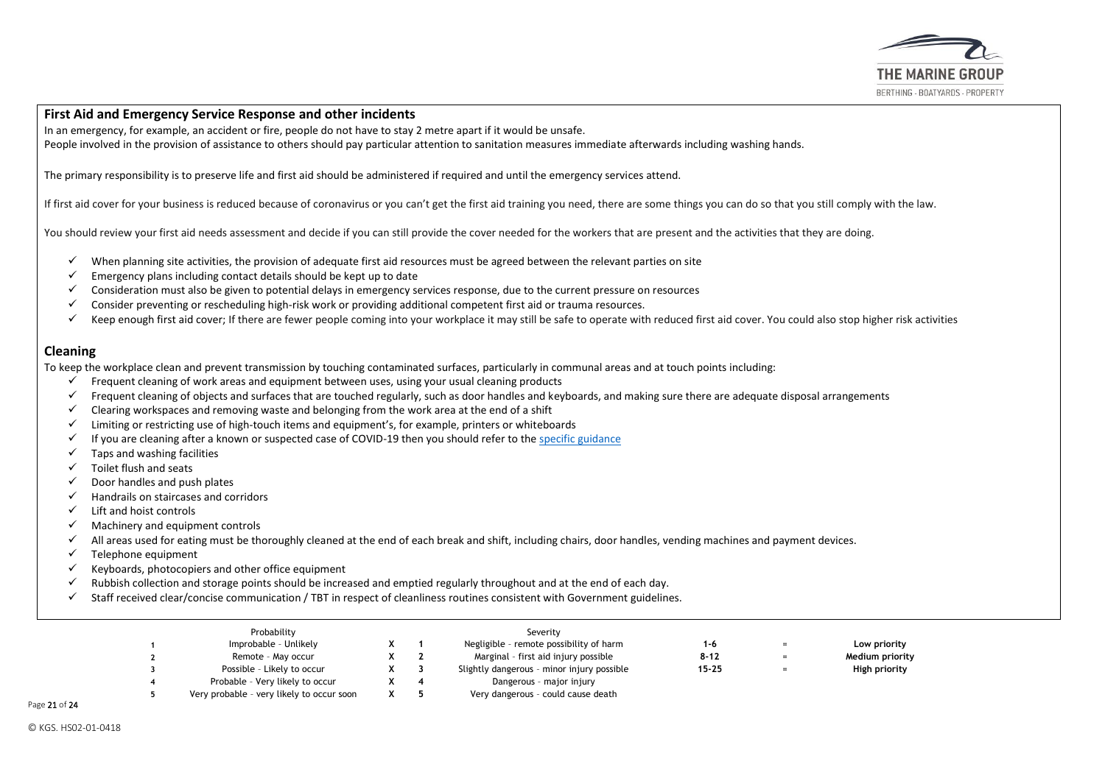

## **[First Aid and Emergency Service Response](https://www.hse.gov.uk/news/first-aid-certificate-coronavirus.htm) and other incidents**

In an emergency, for example, an accident or fire, people do not have to stay 2 metre apart if it would be unsafe.

People involved in the provision of assistance to others should pay particular attention to sanitation measures immediate afterwards including washing hands.

The primary responsibility is to preserve life and first aid should be administered if required and until the emergency services attend.

If first aid cover for your business is reduced because of coronavirus or you can't get the first aid training you need, there are some things you can do so that you still comply with the law.

You should review your first aid needs assessment and decide if you can still provide the cover needed for the workers that are present and the activities that they are doing.

- $\checkmark$  When planning site activities, the provision of adequate first aid resources must be agreed between the relevant parties on site
- $\checkmark$  Emergency plans including contact details should be kept up to date
- $\checkmark$  Consideration must also be given to potential delays in emergency services response, due to the current pressure on resources
- $\checkmark$  Consider preventing or rescheduling high-risk work or providing additional competent first aid or trauma resources.
- $\checkmark$  Keep enough first aid cover; If there are fewer people coming into your workplace it may still be safe to operate with reduced first aid cover. You could also stop higher risk activities

#### **Cleaning**

To keep the workplace clean and prevent transmission by touching contaminated surfaces, particularly in communal areas and at touch points including:

- $\checkmark$  Frequent cleaning of work areas and equipment between uses, using your usual cleaning products
- $\checkmark$  Frequent cleaning of objects and surfaces that are touched regularly, such as door handles and keyboards, and making sure there are adequate disposal arrangements
- $\checkmark$  Clearing workspaces and removing waste and belonging from the work area at the end of a shift
- $\checkmark$  Limiting or restricting use of high-touch items and equipment's, for example, printers or whiteboards
- $\checkmark$  If you are cleaning after a known or suspected case of COVID-19 then you should refer to the [specific guidance](https://www.gov.uk/government/publications/covid-19-decontamination-in-non-healthcare-settings/covid-19-decontamination-in-non-healthcare-settings)
- $\checkmark$  Taps and washing facilities
- ✓ Toilet flush and seats
- $\checkmark$  Door handles and push plates
- $\checkmark$  Handrails on staircases and corridors
- $\checkmark$  Lift and hoist controls
- ✓ Machinery and equipment controls
- ✓ All areas used for eating must be thoroughly cleaned at the end of each break and shift, including chairs, door handles, vending machines and payment devices.
- $\checkmark$  Telephone equipment
- $\checkmark$  Keyboards, photocopiers and other office equipment
- $\checkmark$  Rubbish collection and storage points should be increased and emptied regularly throughout and at the end of each day.
- $\checkmark$  Staff received clear/concise communication / TBT in respect of cleanliness routines consistent with Government guidelines.

| Probability                               |  | Severity                                   |           |     |                 |  |
|-------------------------------------------|--|--------------------------------------------|-----------|-----|-----------------|--|
| Improbable - Unlikely                     |  | Negligible - remote possibility of harm    | 1-6       | $=$ | Low priority    |  |
| Remote - May occur                        |  | Marginal - first aid injury possible       | $8 - 12$  | $=$ | Medium priority |  |
| Possible - Likely to occur                |  | Slightly dangerous - minor injury possible | $15 - 25$ | $=$ | High priority   |  |
| Probable - Very likely to occur           |  | Dangerous - major injury                   |           |     |                 |  |
| Very probable - very likely to occur soon |  | Very dangerous - could cause death         |           |     |                 |  |

Page 21 of 24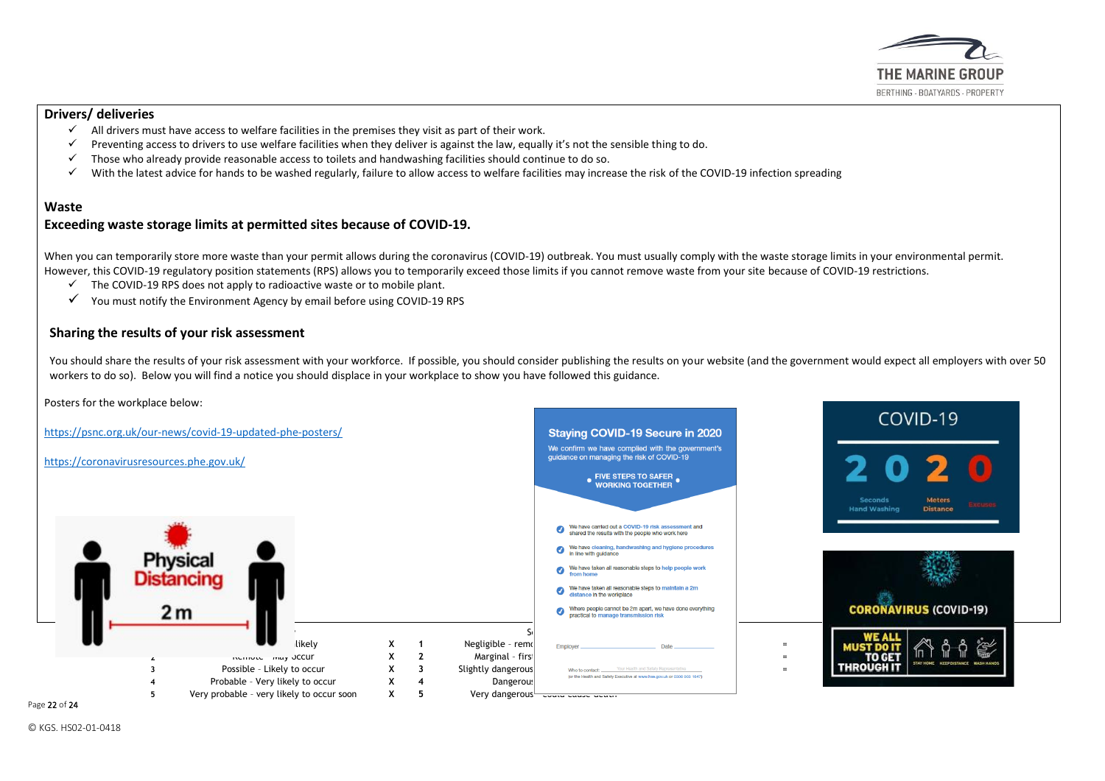

#### **[Drivers/ deliveries](https://www.hse.gov.uk/news/drivers-transport-delivery-coronavirus.htm)**

- $\checkmark$  All drivers must have access to welfare facilities in the premises they visit as part of their work.
- $\checkmark$  Preventing access to drivers to use welfare facilities when they deliver is against the law, equally it's not the sensible thing to do.
- ✓ Those who already provide reasonable access to toilets and handwashing facilities should continue to do so.
- $\checkmark$  With the latest advice for hands to be washed regularly, failure to allow access to welfare facilities may increase the risk of the COVID-19 infection spreading

#### **Waste**

#### **[Exceeding waste storage limits at permitted sites because of COVID-19.](https://www.gov.uk/government/publications/exceeding-waste-storage-limits-at-permitted-sites-because-of-covid-19-rps-c2/exceeding-waste-storage-limits-at-permitted-sites-because-of-covid-19-rps-c2#contact)**

When you can temporarily store more waste than your permit allows during the coronavirus (COVID-19) outbreak. You must usually comply with the waste storage limits in your environmental permit. However, this COVID-19 regulatory position statements (RPS) allows you to temporarily exceed those limits if you cannot remove waste from your site because of COVID-19 restrictions.

- $\checkmark$  The COVID-19 RPS does not apply to radioactive waste or to mobile plant.
- $\checkmark$  You must notify the Environment Agency by email before using COVID-19 RPS

## **Sharing the results of your risk assessment**

You should share the results of your risk assessment with your workforce. If possible, you should consider publishing the results on your website (and the government would expect all employers with over 50 workers to do so). Below you will find a notice you should displace in your workplace to show you have followed this guidance.



Page 22 of 24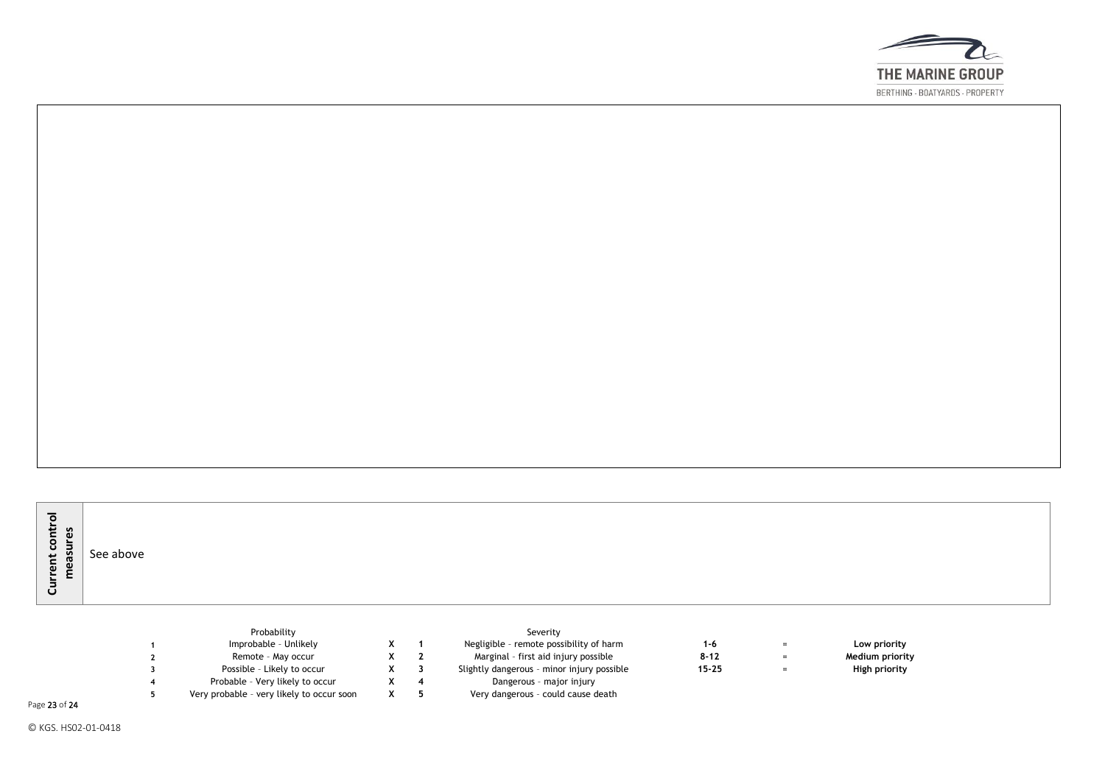

| $\overline{\phantom{0}}$<br>-<br>S<br>o<br>Б<br>ں<br>င္က<br>$\mathbf{r}$<br>-<br>$\mathbf{a}$<br>ັ | See above |  |  |  |  |  |
|----------------------------------------------------------------------------------------------------|-----------|--|--|--|--|--|
|----------------------------------------------------------------------------------------------------|-----------|--|--|--|--|--|

| Probability                               |  | Severity                                   |          |          |                 |
|-------------------------------------------|--|--------------------------------------------|----------|----------|-----------------|
| Improbable - Unlikely                     |  | Negligible - remote possibility of harm    | 1-6      | $=$      | Low priority    |
| Remote - May occur                        |  | Marginal - first aid injury possible       | $8 - 12$ | $=$      | Medium priority |
| Possible - Likely to occur                |  | Slightly dangerous - minor injury possible | 15-25    | $\equiv$ | High priority   |
| Probable - Very likely to occur           |  | Dangerous - major injury                   |          |          |                 |
| Very probable - very likely to occur soon |  | Very dangerous - could cause death         |          |          |                 |

Page 23 of 24